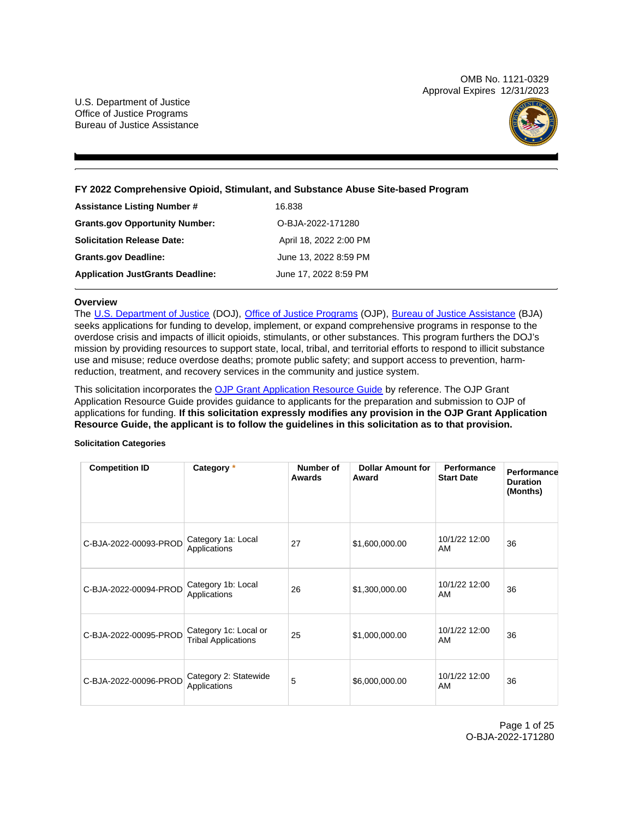OMB No. 1121-0329 Approval Expires 12/31/2023

U.S. Department of Justice Office of Justice Programs Bureau of Justice Assistance



**FY 2022 Comprehensive Opioid, Stimulant, and Substance Abuse Site-based Program** 

| <b>Assistance Listing Number #</b>      | 16.838                 |
|-----------------------------------------|------------------------|
| <b>Grants.gov Opportunity Number:</b>   | O-BJA-2022-171280      |
| <b>Solicitation Release Date:</b>       | April 18, 2022 2:00 PM |
| <b>Grants.gov Deadline:</b>             | June 13, 2022 8:59 PM  |
| <b>Application JustGrants Deadline:</b> | June 17, 2022 8:59 PM  |

# **Overview**

The [U.S. Department of Justice](https://www.usdoj.gov/) (DOJ), [Office of Justice Programs](https://www.ojp.usdoj.gov/) (OJP), [Bureau of Justice Assistance](https://bja.ojp.gov/) (BJA) seeks applications for funding to develop, implement, or expand comprehensive programs in response to the overdose crisis and impacts of illicit opioids, stimulants, or other substances. This program furthers the DOJ's mission by providing resources to support state, local, tribal, and territorial efforts to respond to illicit substance use and misuse; reduce overdose deaths; promote public safety; and support access to prevention, harmreduction, treatment, and recovery services in the community and justice system.

This solicitation incorporates the [OJP Grant Application Resource Guide](https://www.ojp.gov/funding/Apply/Resources/Grant-App-Resource-Guide.htm) by reference. The OJP Grant Application Resource Guide provides guidance to applicants for the preparation and submission to OJP of applications for funding. **If this solicitation expressly modifies any provision in the OJP Grant Application Resource Guide, the applicant is to follow the guidelines in this solicitation as to that provision.** 

# **Solicitation Categories**

| <b>Competition ID</b> | Category *                                          | Number of<br>Awards | <b>Dollar Amount for</b><br>Award | Performance<br><b>Start Date</b> | <b>Performance</b><br><b>Duration</b><br>(Months) |
|-----------------------|-----------------------------------------------------|---------------------|-----------------------------------|----------------------------------|---------------------------------------------------|
| C-BJA-2022-00093-PROD | Category 1a: Local<br>Applications                  | 27                  | \$1,600,000.00                    | 10/1/22 12:00<br>AM              | 36                                                |
| C-BJA-2022-00094-PROD | Category 1b: Local<br>Applications                  | 26                  | \$1,300,000.00                    | 10/1/22 12:00<br>AM              | 36                                                |
| C-BJA-2022-00095-PROD | Category 1c: Local or<br><b>Tribal Applications</b> | 25                  | \$1,000,000.00                    | 10/1/22 12:00<br>AM              | 36                                                |
| C-BJA-2022-00096-PROD | Category 2: Statewide<br>Applications               | 5                   | \$6,000,000.00                    | 10/1/22 12:00<br>AM              | 36                                                |

Page 1 of 25 O-BJA-2022-171280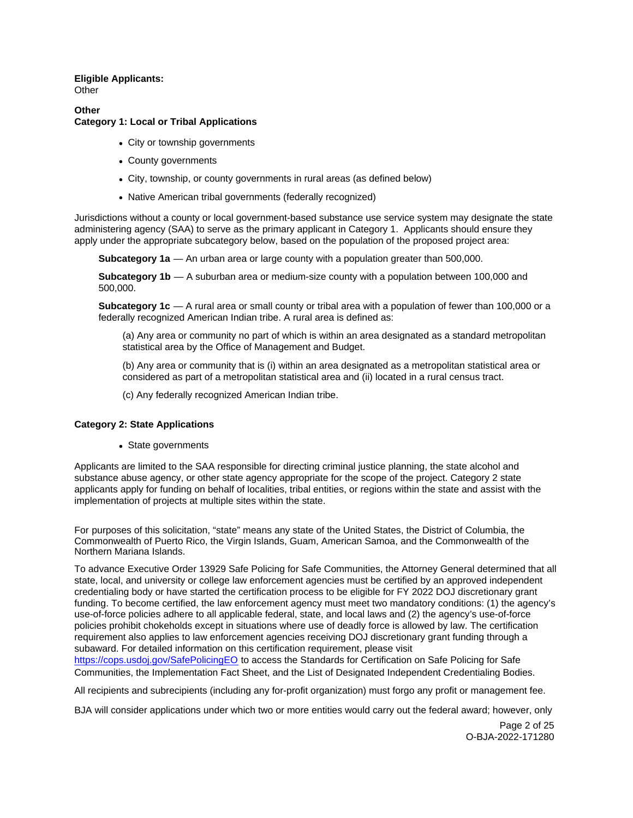# **Eligible Applicants: Other**

# **Other**

# **Category 1: Local or Tribal Applications**

- City or township governments
- County governments
- City, township, or county governments in rural areas (as defined below)
- Native American tribal governments (federally recognized)

Jurisdictions without a county or local government-based substance use service system may designate the state administering agency (SAA) to serve as the primary applicant in Category 1. Applicants should ensure they apply under the appropriate subcategory below, based on the population of the proposed project area:

**Subcategory 1a** — An urban area or large county with a population greater than 500,000.

**Subcategory 1b** — A suburban area or medium-size county with a population between 100,000 and 500,000.

**Subcategory 1c** — A rural area or small county or tribal area with a population of fewer than 100,000 or a federally recognized American Indian tribe. A rural area is defined as:

(a) Any area or community no part of which is within an area designated as a standard metropolitan statistical area by the Office of Management and Budget.

(b) Any area or community that is (i) within an area designated as a metropolitan statistical area or considered as part of a metropolitan statistical area and (ii) located in a rural census tract.

(c) Any federally recognized American Indian tribe.

# **Category 2: State Applications**

• State governments

Applicants are limited to the SAA responsible for directing criminal justice planning, the state alcohol and substance abuse agency, or other state agency appropriate for the scope of the project. Category 2 state applicants apply for funding on behalf of localities, tribal entities, or regions within the state and assist with the implementation of projects at multiple sites within the state.

For purposes of this solicitation, "state" means any state of the United States, the District of Columbia, the Commonwealth of Puerto Rico, the Virgin Islands, Guam, American Samoa, and the Commonwealth of the Northern Mariana Islands.

To advance Executive Order 13929 Safe Policing for Safe Communities, the Attorney General determined that all state, local, and university or college law enforcement agencies must be certified by an approved independent credentialing body or have started the certification process to be eligible for FY 2022 DOJ discretionary grant funding. To become certified, the law enforcement agency must meet two mandatory conditions: (1) the agency's use-of-force policies adhere to all applicable federal, state, and local laws and (2) the agency's use-of-force policies prohibit chokeholds except in situations where use of deadly force is allowed by law. The certification requirement also applies to law enforcement agencies receiving DOJ discretionary grant funding through a subaward. For detailed information on this certification requirement, please visit

[https://cops.usdoj.gov/SafePolicingEO](https://cops.usdoj.gov/SafePolicingEO%20) to access the Standards for Certification on Safe Policing for Safe Communities, the Implementation Fact Sheet, and the List of Designated Independent Credentialing Bodies.

All recipients and subrecipients (including any for-profit organization) must forgo any profit or management fee.

BJA will consider applications under which two or more entities would carry out the federal award; however, only

Page 2 of 25 O-BJA-2022-171280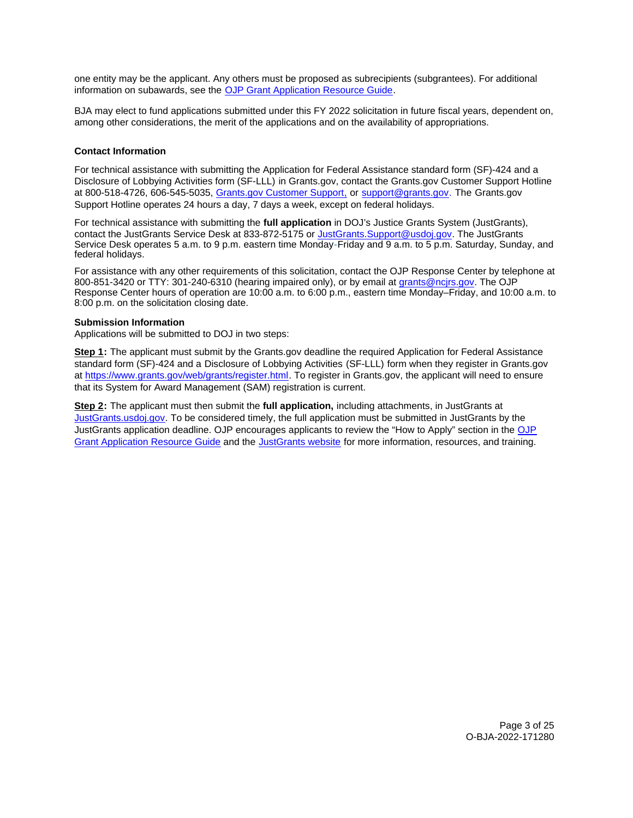<span id="page-2-0"></span>one entity may be the applicant. Any others must be proposed as subrecipients (subgrantees). For additional information on subawards, see the [OJP Grant Application Resource Guide.](https://www.ojp.gov/funding/Apply/Resources/Grant-App-Resource-Guide.htm)

BJA may elect to fund applications submitted under this FY 2022 solicitation in future fiscal years, dependent on, among other considerations, the merit of the applications and on the availability of appropriations.

# **Contact Information**

For technical assistance with submitting the Application for Federal Assistance standard form (SF)-424 and a Disclosure of Lobbying Activities form (SF-LLL) in [Grants.gov](https://Grants.gov), contact the [Grants.gov](https://Grants.gov) Customer Support Hotline at 800-518-4726, 606-545-5035, [Grants.gov Customer Support,](https://www.grants.gov/web/grants/support.html) or [support@grants.gov.](mailto:support@grants.gov) The [Grants.gov](https://Grants.gov) Support Hotline operates 24 hours a day, 7 days a week, except on federal holidays.

For technical assistance with submitting the **full application** in DOJ's Justice Grants System (JustGrants), contact the JustGrants Service Desk at 833-872-5175 or [JustGrants.Support@usdoj.gov.](mailto:JustGrants.Support@usdoj.gov) The JustGrants Service Desk operates 5 a.m. to 9 p.m. eastern time Monday-Friday and 9 a.m. to 5 p.m. Saturday, Sunday, and federal holidays.

For assistance with any other requirements of this solicitation, contact the OJP Response Center by telephone at 800-851-3420 or TTY: 301-240-6310 (hearing impaired only), or by email at [grants@ncjrs.gov.](mailto:grants@ncjrs.gov) The OJP Response Center hours of operation are 10:00 a.m. to 6:00 p.m., eastern time Monday–Friday, and 10:00 a.m. to 8:00 p.m. on the solicitation closing date.

# **Submission Information**

Applications will be submitted to DOJ in two steps:

**Step 1:** The applicant must submit by the [Grants.gov](https://Grants.gov) deadline the required Application for Federal Assistance standard form (SF)-424 and a Disclosure of Lobbying Activities (SF-LLL) form when they register in [Grants.gov](https://Grants.gov) at [https://www.grants.gov/web/grants/register.html.](https://www.grants.gov/web/grants/register.html) To register in [Grants.gov](https://Grants.gov), the applicant will need to ensure that its System for Award Management (SAM) registration is current.

**Step 2:** The applicant must then submit the **full application,** including attachments, in JustGrants at [JustGrants.usdoj.gov.](https://justicegrants.usdoj.gov/) To be considered timely, the full application must be submitted in JustGrants by the JustGrants application deadline. OJP encourages applicants to review the "How to Apply" section in the [OJP](https://www.ojp.gov/funding/apply/ojp-grant-application-resource-guide#apply)  [Grant Application Resource Guide](https://www.ojp.gov/funding/apply/ojp-grant-application-resource-guide#apply) and the [JustGrants website](https://justicegrants.usdoj.gov/news) for more information, resources, and training.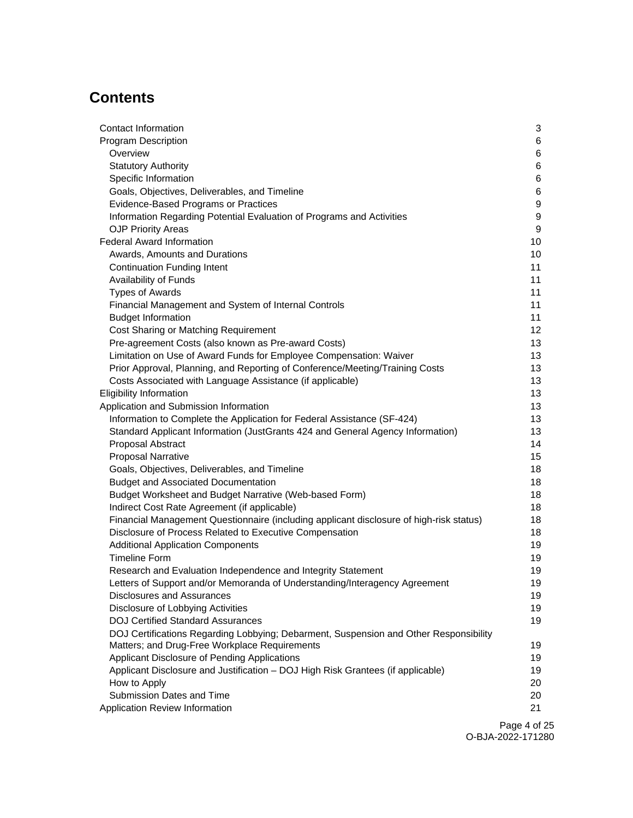# **Contents**

| Contact Information                                                                     | 3  |
|-----------------------------------------------------------------------------------------|----|
| <b>Program Description</b>                                                              | 6  |
| Overview                                                                                | 6  |
| <b>Statutory Authority</b>                                                              | 6  |
| Specific Information                                                                    | 6  |
| Goals, Objectives, Deliverables, and Timeline                                           | 6  |
| Evidence-Based Programs or Practices                                                    | 9  |
| Information Regarding Potential Evaluation of Programs and Activities                   | 9  |
| <b>OJP Priority Areas</b>                                                               | 9  |
| <b>Federal Award Information</b>                                                        | 10 |
| Awards, Amounts and Durations                                                           | 10 |
| <b>Continuation Funding Intent</b>                                                      | 11 |
| Availability of Funds                                                                   | 11 |
| <b>Types of Awards</b>                                                                  | 11 |
| Financial Management and System of Internal Controls                                    | 11 |
| <b>Budget Information</b>                                                               | 11 |
| Cost Sharing or Matching Requirement                                                    | 12 |
| Pre-agreement Costs (also known as Pre-award Costs)                                     | 13 |
| Limitation on Use of Award Funds for Employee Compensation: Waiver                      | 13 |
| Prior Approval, Planning, and Reporting of Conference/Meeting/Training Costs            | 13 |
| Costs Associated with Language Assistance (if applicable)                               | 13 |
| <b>Eligibility Information</b>                                                          | 13 |
| Application and Submission Information                                                  | 13 |
| Information to Complete the Application for Federal Assistance (SF-424)                 | 13 |
| Standard Applicant Information (JustGrants 424 and General Agency Information)          | 13 |
| Proposal Abstract                                                                       | 14 |
| <b>Proposal Narrative</b>                                                               | 15 |
| Goals, Objectives, Deliverables, and Timeline                                           | 18 |
| <b>Budget and Associated Documentation</b>                                              | 18 |
| Budget Worksheet and Budget Narrative (Web-based Form)                                  | 18 |
| Indirect Cost Rate Agreement (if applicable)                                            | 18 |
| Financial Management Questionnaire (including applicant disclosure of high-risk status) | 18 |
| Disclosure of Process Related to Executive Compensation                                 | 18 |
| <b>Additional Application Components</b>                                                | 19 |
| <b>Timeline Form</b>                                                                    | 19 |
| Research and Evaluation Independence and Integrity Statement                            | 19 |
| Letters of Support and/or Memoranda of Understanding/Interagency Agreement              | 19 |
| Disclosures and Assurances                                                              | 19 |
| Disclosure of Lobbying Activities                                                       | 19 |
| <b>DOJ Certified Standard Assurances</b>                                                | 19 |
| DOJ Certifications Regarding Lobbying; Debarment, Suspension and Other Responsibility   |    |
| Matters; and Drug-Free Workplace Requirements                                           | 19 |
| Applicant Disclosure of Pending Applications                                            | 19 |
| Applicant Disclosure and Justification - DOJ High Risk Grantees (if applicable)         | 19 |
| How to Apply                                                                            | 20 |
| Submission Dates and Time                                                               | 20 |
| Application Review Information                                                          | 21 |
|                                                                                         |    |

Page 4 of 25 O-BJA-2022-171280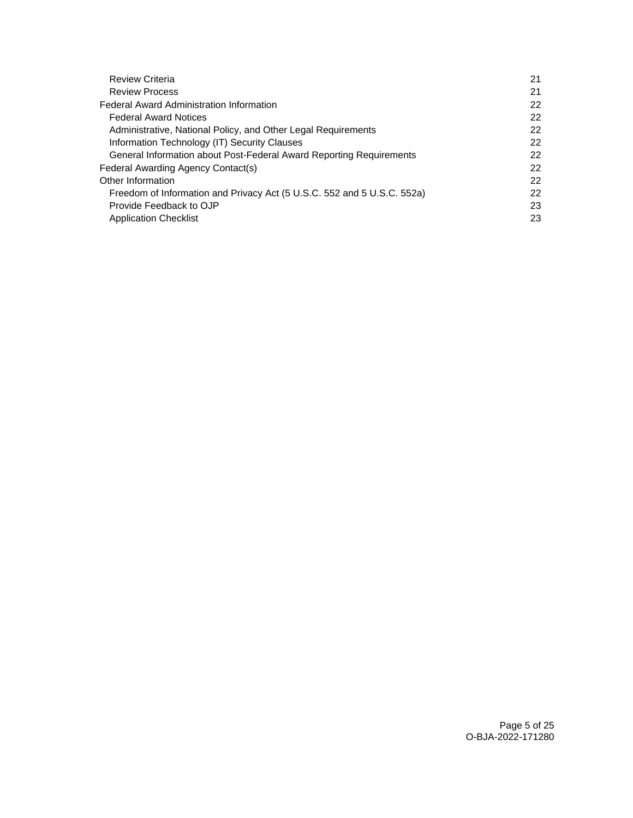| 21 |
|----|
| 21 |
| 22 |
| 22 |
| 22 |
| 22 |
| 22 |
| 22 |
| 22 |
| 22 |
| 23 |
| 23 |
|    |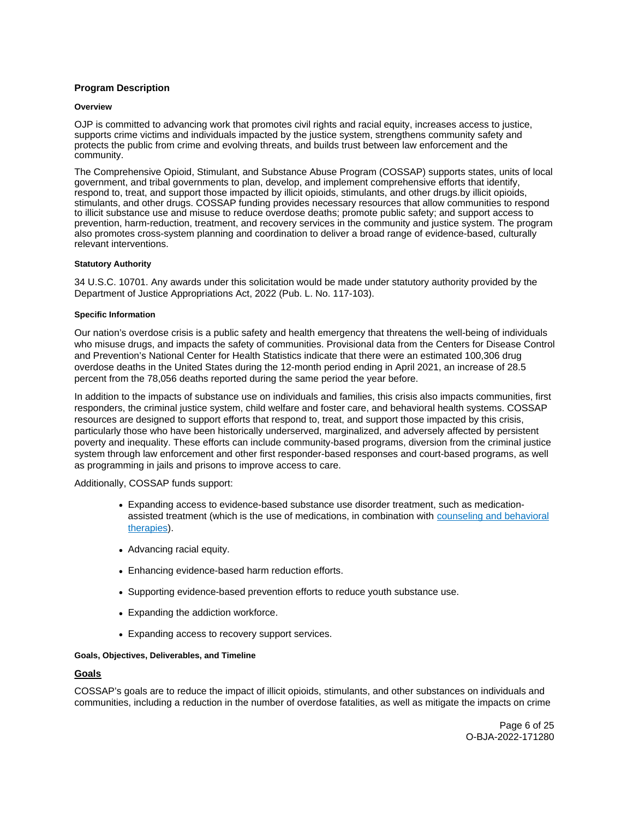# <span id="page-5-0"></span>**Program Description**

#### **Overview**

OJP is committed to advancing work that promotes civil rights and racial equity, increases access to justice, supports crime victims and individuals impacted by the justice system, strengthens community safety and protects the public from crime and evolving threats, and builds trust between law enforcement and the community.

The Comprehensive Opioid, Stimulant, and Substance Abuse Program (COSSAP) supports states, units of local government, and tribal governments to plan, develop, and implement comprehensive efforts that identify, respond to, treat, and support those impacted by illicit opioids, stimulants, and other [drugs.by](https://drugs.by) illicit opioids, stimulants, and other drugs. COSSAP funding provides necessary resources that allow communities to respond to illicit substance use and misuse to reduce overdose deaths; promote public safety; and support access to prevention, harm-reduction, treatment, and recovery services in the community and justice system. The program also promotes cross-system planning and coordination to deliver a broad range of evidence-based, culturally relevant interventions.

#### **Statutory Authority**

34 U.S.C. 10701. Any awards under this solicitation would be made under statutory authority provided by the Department of Justice Appropriations Act, 2022 (Pub. L. No. 117-103).

#### **Specific Information**

Our nation's overdose crisis is a public safety and health emergency that threatens the well-being of individuals who misuse drugs, and impacts the safety of communities. Provisional data from the Centers for Disease Control and Prevention's National Center for Health Statistics indicate that there were an estimated 100,306 drug overdose deaths in the United States during the 12-month period ending in April 2021, an increase of 28.5 percent from the 78,056 deaths reported during the same period the year before.

In addition to the impacts of substance use on individuals and families, this crisis also impacts communities, first responders, the criminal justice system, child welfare and foster care, and behavioral health systems. COSSAP resources are designed to support efforts that respond to, treat, and support those impacted by this crisis, particularly those who have been historically underserved, marginalized, and adversely affected by persistent poverty and inequality. These efforts can include community-based programs, diversion from the criminal justice system through law enforcement and other first responder-based responses and court-based programs, as well as programming in jails and prisons to improve access to care.

Additionally, COSSAP funds support:

- Expanding access to evidence-based substance use disorder treatment, such as medicationassisted treatment (which is the use of medications, in combination with [counseling and behavioral](https://www.samhsa.gov/medication-assisted-treatment/medications-counseling-related-conditions#counseling-behavioral-therapies)  [therapies\)](https://www.samhsa.gov/medication-assisted-treatment/medications-counseling-related-conditions#counseling-behavioral-therapies).
- Advancing racial equity.
- Enhancing evidence-based harm reduction efforts.
- Supporting evidence-based prevention efforts to reduce youth substance use.
- Expanding the addiction workforce.
- Expanding access to recovery support services.

# **Goals, Objectives, Deliverables, and Timeline**

# **Goals**

COSSAP's goals are to reduce the impact of illicit opioids, stimulants, and other substances on individuals and communities, including a reduction in the number of overdose fatalities, as well as mitigate the impacts on crime

> Page 6 of 25 O-BJA-2022-171280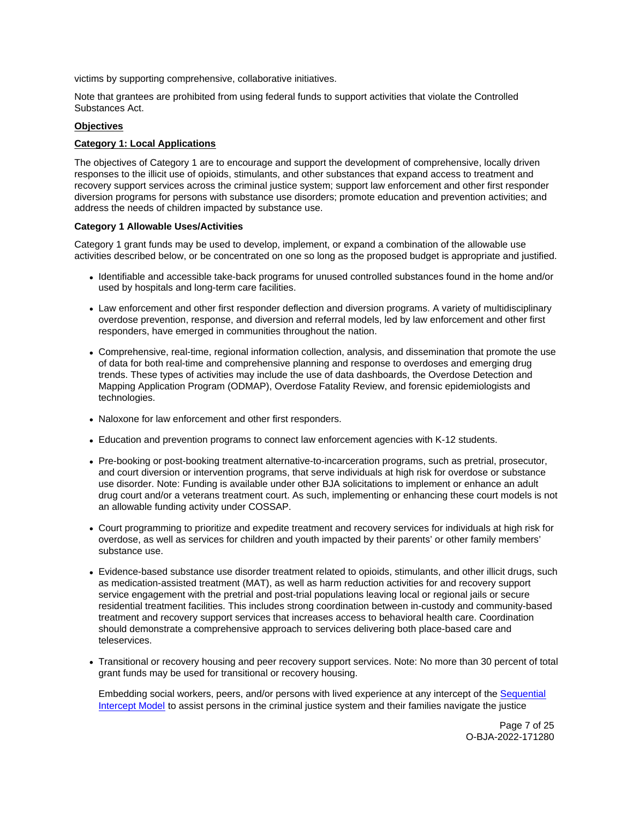victims by supporting comprehensive, collaborative initiatives.

Note that grantees are prohibited from using federal funds to support activities that violate the Controlled Substances Act.

# **Objectives**

# **Category 1: Local Applications**

The objectives of Category 1 are to encourage and support the development of comprehensive, locally driven responses to the illicit use of opioids, stimulants, and other substances that expand access to treatment and recovery support services across the criminal justice system; support law enforcement and other first responder diversion programs for persons with substance use disorders; promote education and prevention activities; and address the needs of children impacted by substance use.

# **Category 1 Allowable Uses/Activities**

Category 1 grant funds may be used to develop, implement, or expand a combination of the allowable use activities described below, or be concentrated on one so long as the proposed budget is appropriate and justified.

- Identifiable and accessible take-back programs for unused controlled substances found in the home and/or used by hospitals and long-term care facilities.
- Law enforcement and other first responder deflection and diversion programs. A variety of multidisciplinary overdose prevention, response, and diversion and referral models, led by law enforcement and other first responders, have emerged in communities throughout the nation.
- Comprehensive, real-time, regional information collection, analysis, and dissemination that promote the use of data for both real-time and comprehensive planning and response to overdoses and emerging drug trends. These types of activities may include the use of data dashboards, the Overdose Detection and Mapping Application Program (ODMAP), Overdose Fatality Review, and forensic epidemiologists and technologies.
- Naloxone for law enforcement and other first responders.
- Education and prevention programs to connect law enforcement agencies with K-12 students.
- Pre-booking or post-booking treatment alternative-to-incarceration programs, such as pretrial, prosecutor, and court diversion or intervention programs, that serve individuals at high risk for overdose or substance use disorder. Note: Funding is available under other BJA solicitations to implement or enhance an adult drug court and/or a veterans treatment court. As such, implementing or enhancing these court models is not an allowable funding activity under COSSAP.
- Court programming to prioritize and expedite treatment and recovery services for individuals at high risk for overdose, as well as services for children and youth impacted by their parents' or other family members' substance use.
- Evidence-based substance use disorder treatment related to opioids, stimulants, and other illicit drugs, such as medication-assisted treatment (MAT), as well as harm reduction activities for and recovery support service engagement with the pretrial and post-trial populations leaving local or regional jails or secure residential treatment facilities. This includes strong coordination between in-custody and community-based treatment and recovery support services that increases access to behavioral health care. Coordination should demonstrate a comprehensive approach to services delivering both place-based care and teleservices.
- Transitional or recovery housing and peer recovery support services. Note: No more than 30 percent of total grant funds may be used for transitional or recovery housing.

Embedding social workers, peers, and/or persons with lived experience at any intercept of the [Sequential](https://www.samhsa.gov/criminal-juvenile-justice/sim-overview)  [Intercept Model](https://www.samhsa.gov/criminal-juvenile-justice/sim-overview) to assist persons in the criminal justice system and their families navigate the justice

> Page 7 of 25 O-BJA-2022-171280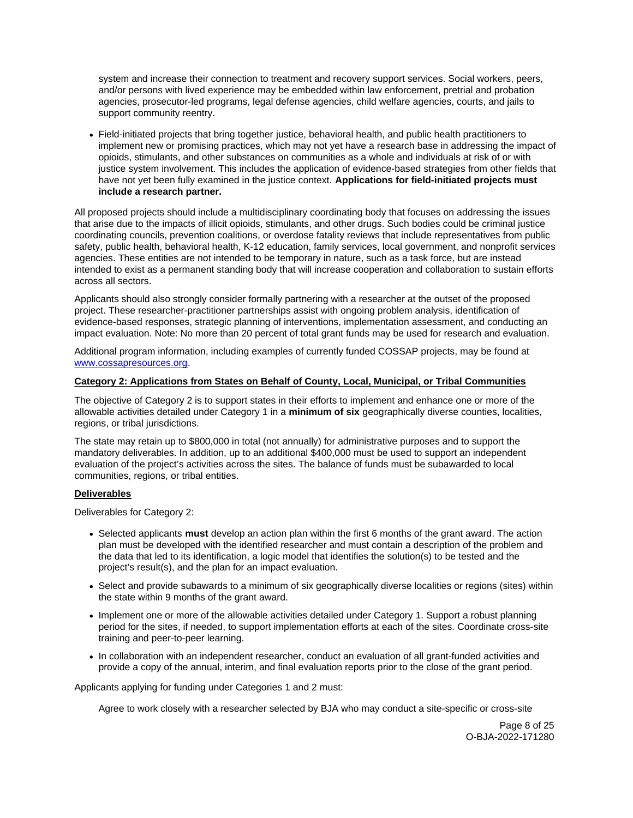system and increase their connection to treatment and recovery support services. Social workers, peers, and/or persons with lived experience may be embedded within law enforcement, pretrial and probation agencies, prosecutor-led programs, legal defense agencies, child welfare agencies, courts, and jails to support community reentry.

Field-initiated projects that bring together justice, behavioral health, and public health practitioners to implement new or promising practices, which may not yet have a research base in addressing the impact of opioids, stimulants, and other substances on communities as a whole and individuals at risk of or with justice system involvement. This includes the application of evidence-based strategies from other fields that have not yet been fully examined in the justice context. **Applications for field-initiated projects must include a research partner.** 

All proposed projects should include a multidisciplinary coordinating body that focuses on addressing the issues that arise due to the impacts of illicit opioids, stimulants, and other drugs. Such bodies could be criminal justice coordinating councils, prevention coalitions, or overdose fatality reviews that include representatives from public safety, public health, behavioral health, K-12 education, family services, local government, and nonprofit services agencies. These entities are not intended to be temporary in nature, such as a task force, but are instead intended to exist as a permanent standing body that will increase cooperation and collaboration to sustain efforts across all sectors.

Applicants should also strongly consider formally partnering with a researcher at the outset of the proposed project. These researcher-practitioner partnerships assist with ongoing problem analysis, identification of evidence-based responses, strategic planning of interventions, implementation assessment, and conducting an impact evaluation. Note: No more than 20 percent of total grant funds may be used for research and evaluation.

Additional program information, including examples of currently funded COSSAP projects, may be found at [www.cossapresources.org.](http://www.cossapresources.org)

# **Category 2: Applications from States on Behalf of County, Local, Municipal, or Tribal Communities**

The objective of Category 2 is to support states in their efforts to implement and enhance one or more of the allowable activities detailed under Category 1 in a **minimum of six** geographically diverse counties, localities, regions, or tribal jurisdictions.

The state may retain up to \$800,000 in total (not annually) for administrative purposes and to support the mandatory deliverables. In addition, up to an additional \$400,000 must be used to support an independent evaluation of the project's activities across the sites. The balance of funds must be subawarded to local communities, regions, or tribal entities.

# **Deliverables**

Deliverables for Category 2:

- Selected applicants **must** develop an action plan within the first 6 months of the grant award. The action plan must be developed with the identified researcher and must contain a description of the problem and the data that led to its identification, a logic model that identifies the solution(s) to be tested and the project's result(s), and the plan for an impact evaluation.
- Select and provide subawards to a minimum of six geographically diverse localities or regions (sites) within the state within 9 months of the grant award.
- Implement one or more of the allowable activities detailed under Category 1. Support a robust planning period for the sites, if needed, to support implementation efforts at each of the sites. Coordinate cross-site training and peer-to-peer learning.
- In collaboration with an independent researcher, conduct an evaluation of all grant-funded activities and provide a copy of the annual, interim, and final evaluation reports prior to the close of the grant period.

Applicants applying for funding under Categories 1 and 2 must:

Agree to work closely with a researcher selected by BJA who may conduct a site-specific or cross-site

Page 8 of 25 O-BJA-2022-171280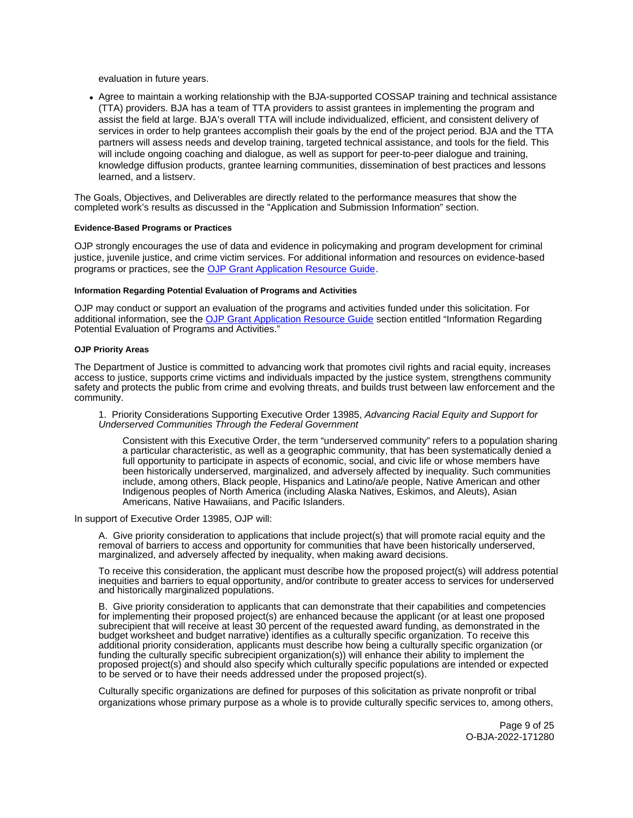<span id="page-8-0"></span>evaluation in future years.

Agree to maintain a working relationship with the BJA-supported COSSAP training and technical assistance (TTA) providers. BJA has a team of TTA providers to assist grantees in implementing the program and assist the field at large. BJA's overall TTA will include individualized, efficient, and consistent delivery of services in order to help grantees accomplish their goals by the end of the project period. BJA and the TTA partners will assess needs and develop training, targeted technical assistance, and tools for the field. This will include ongoing coaching and dialogue, as well as support for peer-to-peer dialogue and training, knowledge diffusion products, grantee learning communities, dissemination of best practices and lessons learned, and a listserv.

The Goals, Objectives, and Deliverables are directly related to the performance measures that show the completed work's results as discussed in the "Application and Submission Information" section.

#### **Evidence-Based Programs or Practices**

OJP strongly encourages the use of data and evidence in policymaking and program development for criminal justice, juvenile justice, and crime victim services. For additional information and resources on evidence-based programs or practices, see the [OJP Grant Application Resource Guide.](https://www.ojp.gov/funding/apply/ojp-grant-application-resource-guide#evidence-based)

#### **Information Regarding Potential Evaluation of Programs and Activities**

OJP may conduct or support an evaluation of the programs and activities funded under this solicitation. For additional information, see the [OJP Grant Application Resource Guide](https://www.ojp.gov/funding/apply/ojp-grant-application-resource-guide#potential-evaluation) section entitled "Information Regarding Potential Evaluation of Programs and Activities."

#### **OJP Priority Areas**

The Department of Justice is committed to advancing work that promotes civil rights and racial equity, increases access to justice, supports crime victims and individuals impacted by the justice system, strengthens community safety and protects the public from crime and evolving threats, and builds trust between law enforcement and the community.

#### 1. Priority Considerations Supporting Executive Order 13985, Advancing Racial Equity and Support for Underserved Communities Through the Federal Government

Consistent with this Executive Order, the term "underserved community" refers to a population sharing a particular characteristic, as well as a geographic community, that has been systematically denied a full opportunity to participate in aspects of economic, social, and civic life or whose members have been historically underserved, marginalized, and adversely affected by inequality. Such communities include, among others, Black people, Hispanics and Latino/a/e people, Native American and other Indigenous peoples of North America (including Alaska Natives, Eskimos, and Aleuts), Asian Americans, Native Hawaiians, and Pacific Islanders.

In support of Executive Order 13985, OJP will:

A. Give priority consideration to applications that include project(s) that will promote racial equity and the removal of barriers to access and opportunity for communities that have been historically underserved, marginalized, and adversely affected by inequality, when making award decisions.

To receive this consideration, the applicant must describe how the proposed project(s) will address potential inequities and barriers to equal opportunity, and/or contribute to greater access to services for underserved and historically marginalized populations.

B. Give priority consideration to applicants that can demonstrate that their capabilities and competencies for implementing their proposed project(s) are enhanced because the applicant (or at least one proposed subrecipient that will receive at least 30 percent of the requested award funding, as demonstrated in the budget worksheet and budget narrative) identifies as a culturally specific organization. To receive this additional priority consideration, applicants must describe how being a culturally specific organization (or funding the culturally specific subrecipient organization(s)) will enhance their ability to implement the proposed project(s) and should also specify which culturally specific populations are intended or expected to be served or to have their needs addressed under the proposed project(s).

Culturally specific organizations are defined for purposes of this solicitation as private nonprofit or tribal organizations whose primary purpose as a whole is to provide culturally specific services to, among others,

> Page 9 of 25 O-BJA-2022-171280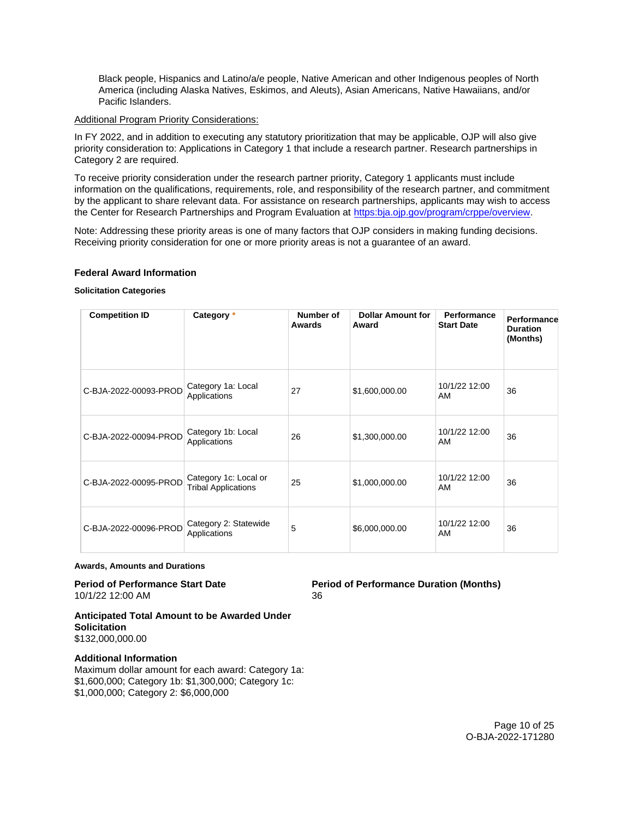<span id="page-9-0"></span>Black people, Hispanics and Latino/a/e people, Native American and other Indigenous peoples of North America (including Alaska Natives, Eskimos, and Aleuts), Asian Americans, Native Hawaiians, and/or Pacific Islanders.

# Additional Program Priority Considerations:

In FY 2022, and in addition to executing any statutory prioritization that may be applicable, OJP will also give priority consideration to: Applications in Category 1 that include a research partner. Research partnerships in Category 2 are required.

To receive priority consideration under the research partner priority, Category 1 applicants must include information on the qualifications, requirements, role, and responsibility of the research partner, and commitment by the applicant to share relevant data. For assistance on research partnerships, applicants may wish to access the Center for Research Partnerships and Program Evaluation at [https:bja.ojp.gov/program/crppe/overview.](https://bja.ojp.gov/program/crppe/overview)

Note: Addressing these priority areas is one of many factors that OJP considers in making funding decisions. Receiving priority consideration for one or more priority areas is not a guarantee of an award.

# **Federal Award Information**

# **Solicitation Categories**

| <b>Competition ID</b> | Category *                                          | Number of<br>Awards | <b>Dollar Amount for</b><br>Award | <b>Performance</b><br><b>Start Date</b> | Performance<br><b>Duration</b><br>(Months) |
|-----------------------|-----------------------------------------------------|---------------------|-----------------------------------|-----------------------------------------|--------------------------------------------|
| C-BJA-2022-00093-PROD | Category 1a: Local<br>Applications                  | 27                  | \$1,600,000.00                    | 10/1/22 12:00<br>AM                     | 36                                         |
| C-BJA-2022-00094-PROD | Category 1b: Local<br>Applications                  | 26                  | \$1,300,000.00                    | 10/1/22 12:00<br>AM                     | 36                                         |
| C-BJA-2022-00095-PROD | Category 1c: Local or<br><b>Tribal Applications</b> | 25                  | \$1,000,000.00                    | 10/1/22 12:00<br>AM                     | 36                                         |
| C-BJA-2022-00096-PROD | Category 2: Statewide<br>Applications               | 5                   | \$6,000,000.00                    | 10/1/22 12:00<br>AM                     | 36                                         |

#### **Awards, Amounts and Durations**

# 10/1/22 12:00 AM 36

**Period of Performance Start Date Period of Performance Duration (Months)** 

**Anticipated Total Amount to be Awarded Under Solicitation**  \$132,000,000.00

# **Additional Information**

Maximum dollar amount for each award: Category 1a: \$1,600,000; Category 1b: \$1,300,000; Category 1c: \$1,000,000; Category 2: \$6,000,000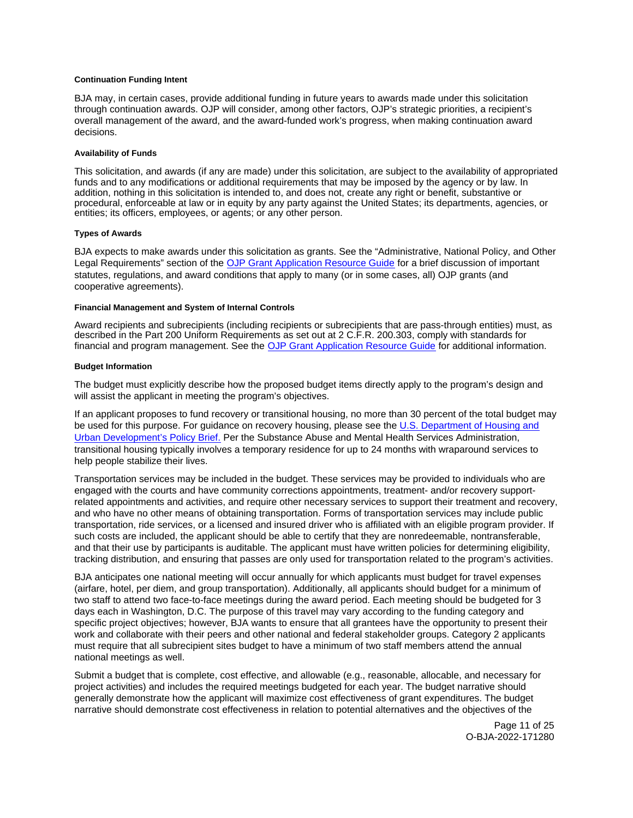#### <span id="page-10-0"></span>**Continuation Funding Intent**

BJA may, in certain cases, provide additional funding in future years to awards made under this solicitation through continuation awards. OJP will consider, among other factors, OJP's strategic priorities, a recipient's overall management of the award, and the award-funded work's progress, when making continuation award decisions.

#### **Availability of Funds**

This solicitation, and awards (if any are made) under this solicitation, are subject to the availability of appropriated funds and to any modifications or additional requirements that may be imposed by the agency or by law. In addition, nothing in this solicitation is intended to, and does not, create any right or benefit, substantive or procedural, enforceable at law or in equity by any party against the United States; its departments, agencies, or entities; its officers, employees, or agents; or any other person.

#### **Types of Awards**

BJA expects to make awards under this solicitation as grants. See the "Administrative, National Policy, and Other Legal Requirements" section of the [OJP Grant Application Resource Guide](https://ojp.gov/funding/Apply/Resources/Grant-App-Resource-Guide.htm) for a brief discussion of important statutes, regulations, and award conditions that apply to many (or in some cases, all) OJP grants (and cooperative agreements).

#### **Financial Management and System of Internal Controls**

Award recipients and subrecipients (including recipients or subrecipients that are pass-through entities) must, as described in the Part 200 Uniform Requirements as set out at 2 C.F.R. 200.303, comply with standards for financial and program management. See the [OJP Grant Application Resource Guide](https://www.ojp.gov/funding/apply/ojp-grant-application-resource-guide#fm-internal-controls) for additional information.

#### **Budget Information**

The budget must explicitly describe how the proposed budget items directly apply to the program's design and will assist the applicant in meeting the program's objectives.

If an applicant proposes to fund recovery or transitional housing, no more than 30 percent of the total budget may be used for this purpose. For guidance on recovery housing, please see the [U.S. Department of Housing and](https://files.hudexchange.info/resources/documents/Recovery-Housing-Policy-Brief.pdf)  [Urban Development's Policy Brief.](https://files.hudexchange.info/resources/documents/Recovery-Housing-Policy-Brief.pdf) Per the Substance Abuse and Mental Health Services Administration, transitional housing typically involves a temporary residence for up to 24 months with wraparound services to help people stabilize their lives.

Transportation services may be included in the budget. These services may be provided to individuals who are engaged with the courts and have community corrections appointments, treatment- and/or recovery supportrelated appointments and activities, and require other necessary services to support their treatment and recovery, and who have no other means of obtaining transportation. Forms of transportation services may include public transportation, ride services, or a licensed and insured driver who is affiliated with an eligible program provider. If such costs are included, the applicant should be able to certify that they are nonredeemable, nontransferable, and that their use by participants is auditable. The applicant must have written policies for determining eligibility, tracking distribution, and ensuring that passes are only used for transportation related to the program's activities.

BJA anticipates one national meeting will occur annually for which applicants must budget for travel expenses (airfare, hotel, per diem, and group transportation). Additionally, all applicants should budget for a minimum of two staff to attend two face-to-face meetings during the award period. Each meeting should be budgeted for 3 days each in Washington, D.C. The purpose of this travel may vary according to the funding category and specific project objectives; however, BJA wants to ensure that all grantees have the opportunity to present their work and collaborate with their peers and other national and federal stakeholder groups. Category 2 applicants must require that all subrecipient sites budget to have a minimum of two staff members attend the annual national meetings as well.

Submit a budget that is complete, cost effective, and allowable (e.g., reasonable, allocable, and necessary for project activities) and includes the required meetings budgeted for each year. The budget narrative should generally demonstrate how the applicant will maximize cost effectiveness of grant expenditures. The budget narrative should demonstrate cost effectiveness in relation to potential alternatives and the objectives of the

> Page 11 of 25 O-BJA-2022-171280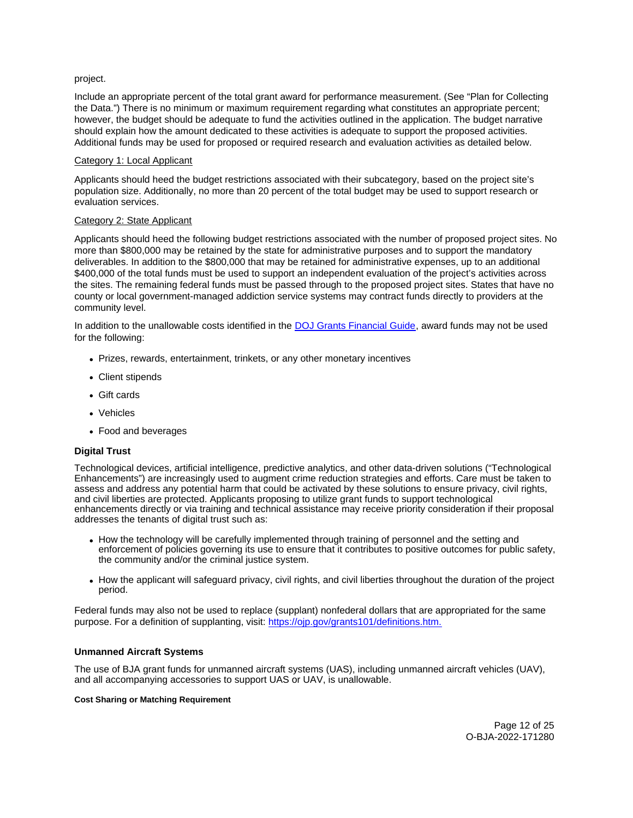# <span id="page-11-0"></span>project.

Include an appropriate percent of the total grant award for performance measurement. (See "Plan for Collecting the Data.") There is no minimum or maximum requirement regarding what constitutes an appropriate percent; however, the budget should be adequate to fund the activities outlined in the application. The budget narrative should explain how the amount dedicated to these activities is adequate to support the proposed activities. Additional funds may be used for proposed or required research and evaluation activities as detailed below.

# Category 1: Local Applicant

Applicants should heed the budget restrictions associated with their subcategory, based on the project site's population size. Additionally, no more than 20 percent of the total budget may be used to support research or evaluation services.

# Category 2: State Applicant

Applicants should heed the following budget restrictions associated with the number of proposed project sites. No more than \$800,000 may be retained by the state for administrative purposes and to support the mandatory deliverables. In addition to the \$800,000 that may be retained for administrative expenses, up to an additional \$400,000 of the total funds must be used to support an independent evaluation of the project's activities across the sites. The remaining federal funds must be passed through to the proposed project sites. States that have no county or local government-managed addiction service systems may contract funds directly to providers at the community level.

In addition to the unallowable costs identified in the [DOJ Grants Financial Guide,](https://ojp.gov/financialguide/doj/pdfs/DOJ_FinancialGuide.pdf) award funds may not be used for the following:

- Prizes, rewards, entertainment, trinkets, or any other monetary incentives
- Client stipends
- Gift cards
- Vehicles
- Food and beverages

# **Digital Trust**

Technological devices, artificial intelligence, predictive analytics, and other data-driven solutions ("Technological Enhancements") are increasingly used to augment crime reduction strategies and efforts. Care must be taken to assess and address any potential harm that could be activated by these solutions to ensure privacy, civil rights, and civil liberties are protected. Applicants proposing to utilize grant funds to support technological enhancements directly or via training and technical assistance may receive priority consideration if their proposal addresses the tenants of digital trust such as:

- How the technology will be carefully implemented through training of personnel and the setting and enforcement of policies governing its use to ensure that it contributes to positive outcomes for public safety, the community and/or the criminal justice system.
- How the applicant will safeguard privacy, civil rights, and civil liberties throughout the duration of the project period.

Federal funds may also not be used to replace (supplant) nonfederal dollars that are appropriated for the same purpose. For a definition of supplanting, visit: [https://ojp.gov/grants101/definitions.htm.](https://ojp.gov/grants101/definitions.htm)

# **Unmanned Aircraft Systems**

The use of BJA grant funds for unmanned aircraft systems (UAS), including unmanned aircraft vehicles (UAV), and all accompanying accessories to support UAS or UAV, is unallowable.

#### **Cost Sharing or Matching Requirement**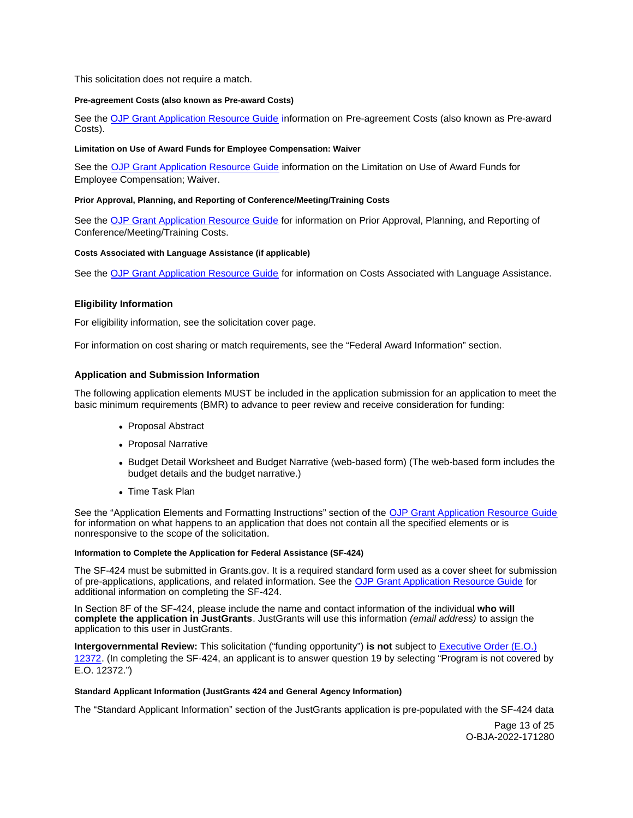<span id="page-12-0"></span>This solicitation does not require a match.

#### **Pre-agreement Costs (also known as Pre-award Costs)**

See the [OJP Grant Application Resource Guide](https://www.ojp.gov/funding/apply/ojp-grant-application-resource-guide#pre-agreement-costs) information on Pre-agreement Costs (also known as Pre-award Costs).

#### **Limitation on Use of Award Funds for Employee Compensation: Waiver**

See the [OJP Grant Application Resource Guide](https://www.ojp.gov/funding/apply/ojp-grant-application-resource-guide#limitation-use-award) information on the Limitation on Use of Award Funds for Employee Compensation; Waiver.

#### **Prior Approval, Planning, and Reporting of Conference/Meeting/Training Costs**

See the [OJP Grant Application Resource Guide](https://www.ojp.gov/funding/apply/ojp-grant-application-resource-guide#prior-approval) for information on Prior Approval, Planning, and Reporting of Conference/Meeting/Training Costs.

#### **Costs Associated with Language Assistance (if applicable)**

See the [OJP Grant Application Resource Guide](https://www.ojp.gov/funding/apply/ojp-grant-application-resource-guide#costs-associated) for information on Costs Associated with Language Assistance.

#### **Eligibility Information**

For eligibility information, see the solicitation cover page.

For information on cost sharing or match requirements, see the "Federal Award Information" section.

#### **Application and Submission Information**

The following application elements MUST be included in the application submission for an application to meet the basic minimum requirements (BMR) to advance to peer review and receive consideration for funding:

- Proposal Abstract
- Proposal Narrative
- Budget Detail Worksheet and Budget Narrative (web-based form) (The web-based form includes the budget details and the budget narrative.)
- Time Task Plan

See the "Application Elements and Formatting Instructions" section of the [OJP Grant Application Resource Guide](https://www.ojp.gov/funding/apply/ojp-grant-application-resource-guide#application-elements)  for information on what happens to an application that does not contain all the specified elements or is nonresponsive to the scope of the solicitation.

#### **Information to Complete the Application for Federal Assistance (SF-424)**

The SF-424 must be submitted in [Grants.gov](https://Grants.gov). It is a required standard form used as a cover sheet for submission of pre-applications, applications, and related information. See the [OJP Grant Application Resource Guide](https://www.ojp.gov/funding/apply/ojp-grant-application-resource-guide#complete-application) for additional information on completing the SF-424.

In Section 8F of the SF-424, please include the name and contact information of the individual **who will complete the application in JustGrants**. JustGrants will use this information (email address) to assign the application to this user in JustGrants.

**Intergovernmental Review:** This solicitation ("funding opportunity") **is not** subject to [Executive Order \(E.O.\)](https://www.archives.gov/federal-register/codification/executive-order/12372.html)  [12372.](https://www.archives.gov/federal-register/codification/executive-order/12372.html) (In completing the SF-424, an applicant is to answer question 19 by selecting "Program is not covered by E.O. 12372.")

#### **Standard Applicant Information (JustGrants 424 and General Agency Information)**

The "Standard Applicant Information" section of the JustGrants application is pre-populated with the SF-424 data

Page 13 of 25 O-BJA-2022-171280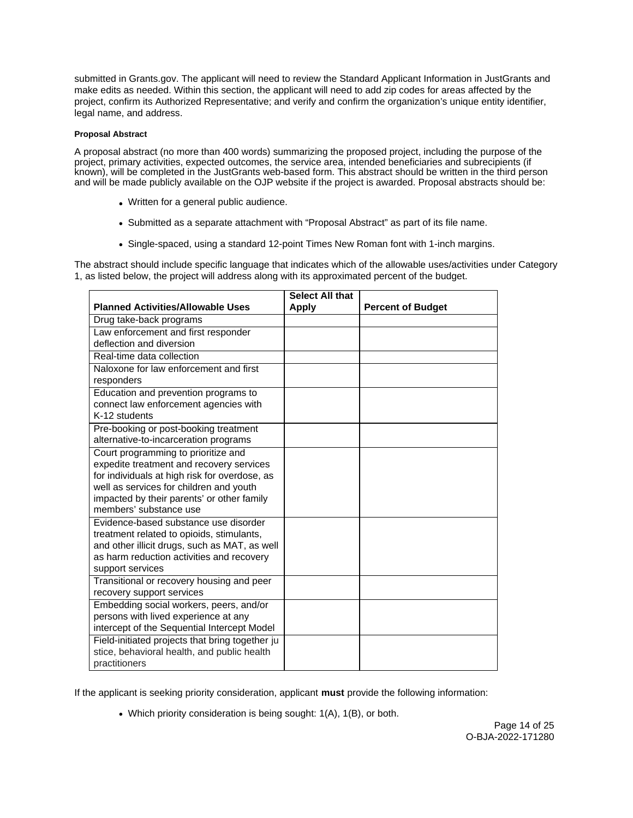<span id="page-13-0"></span>submitted in [Grants.gov.](https://Grants.gov) The applicant will need to review the Standard Applicant Information in JustGrants and make edits as needed. Within this section, the applicant will need to add zip codes for areas affected by the project, confirm its Authorized Representative; and verify and confirm the organization's unique entity identifier, legal name, and address.

# **Proposal Abstract**

A proposal abstract (no more than 400 words) summarizing the proposed project, including the purpose of the project, primary activities, expected outcomes, the service area, intended beneficiaries and subrecipients (if known), will be completed in the JustGrants web-based form. This abstract should be written in the third person and will be made publicly available on the OJP website if the project is awarded. Proposal abstracts should be:

- Written for a general public audience.
- Submitted as a separate attachment with "Proposal Abstract" as part of its file name.
- Single-spaced, using a standard 12-point Times New Roman font with 1-inch margins.

The abstract should include specific language that indicates which of the allowable uses/activities under Category 1, as listed below, the project will address along with its approximated percent of the budget.

|                                                 | <b>Select All that</b> |                          |
|-------------------------------------------------|------------------------|--------------------------|
| <b>Planned Activities/Allowable Uses</b>        | <b>Apply</b>           | <b>Percent of Budget</b> |
| Drug take-back programs                         |                        |                          |
| Law enforcement and first responder             |                        |                          |
| deflection and diversion                        |                        |                          |
| Real-time data collection                       |                        |                          |
| Naloxone for law enforcement and first          |                        |                          |
| responders                                      |                        |                          |
| Education and prevention programs to            |                        |                          |
| connect law enforcement agencies with           |                        |                          |
| K-12 students                                   |                        |                          |
| Pre-booking or post-booking treatment           |                        |                          |
| alternative-to-incarceration programs           |                        |                          |
| Court programming to prioritize and             |                        |                          |
| expedite treatment and recovery services        |                        |                          |
| for individuals at high risk for overdose, as   |                        |                          |
| well as services for children and youth         |                        |                          |
| impacted by their parents' or other family      |                        |                          |
| members' substance use                          |                        |                          |
| Evidence-based substance use disorder           |                        |                          |
| treatment related to opioids, stimulants,       |                        |                          |
| and other illicit drugs, such as MAT, as well   |                        |                          |
| as harm reduction activities and recovery       |                        |                          |
| support services                                |                        |                          |
| Transitional or recovery housing and peer       |                        |                          |
| recovery support services                       |                        |                          |
| Embedding social workers, peers, and/or         |                        |                          |
| persons with lived experience at any            |                        |                          |
| intercept of the Sequential Intercept Model     |                        |                          |
| Field-initiated projects that bring together ju |                        |                          |
| stice, behavioral health, and public health     |                        |                          |
| practitioners                                   |                        |                          |

If the applicant is seeking priority consideration, applicant **must** provide the following information:

Which priority consideration is being sought: 1(A), 1(B), or both.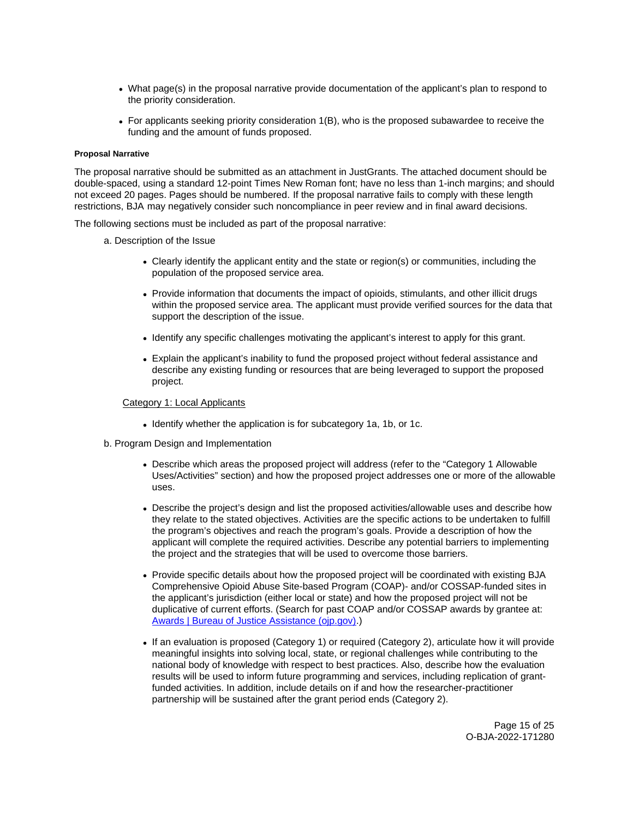- <span id="page-14-0"></span>What page(s) in the proposal narrative provide documentation of the applicant's plan to respond to the priority consideration.
- For applicants seeking priority consideration 1(B), who is the proposed subawardee to receive the funding and the amount of funds proposed.

#### **Proposal Narrative**

The proposal narrative should be submitted as an attachment in JustGrants. The attached document should be double-spaced, using a standard 12-point Times New Roman font; have no less than 1-inch margins; and should not exceed 20 pages. Pages should be numbered. If the proposal narrative fails to comply with these length restrictions, BJA may negatively consider such noncompliance in peer review and in final award decisions.

The following sections must be included as part of the proposal narrative:

a. Description of the Issue

- Clearly identify the applicant entity and the state or region(s) or communities, including the population of the proposed service area.
- Provide information that documents the impact of opioids, stimulants, and other illicit drugs within the proposed service area. The applicant must provide verified sources for the data that support the description of the issue.
- Identify any specific challenges motivating the applicant's interest to apply for this grant.
- Explain the applicant's inability to fund the proposed project without federal assistance and describe any existing funding or resources that are being leveraged to support the proposed project.

# Category 1: Local Applicants

- Identify whether the application is for subcategory 1a, 1b, or 1c.
- b. Program Design and Implementation
	- Describe which areas the proposed project will address (refer to the "Category 1 Allowable Uses/Activities" section) and how the proposed project addresses one or more of the allowable uses.
	- Describe the project's design and list the proposed activities/allowable uses and describe how they relate to the stated objectives. Activities are the specific actions to be undertaken to fulfill the program's objectives and reach the program's goals. Provide a description of how the applicant will complete the required activities. Describe any potential barriers to implementing the project and the strategies that will be used to overcome those barriers.
	- Provide specific details about how the proposed project will be coordinated with existing BJA Comprehensive Opioid Abuse Site-based Program (COAP)- and/or COSSAP-funded sites in the applicant's jurisdiction (either local or state) and how the proposed project will not be duplicative of current efforts. (Search for past COAP and/or COSSAP awards by grantee at: [Awards | Bureau of Justice Assistance \(ojp.gov\).](https://bja.ojp.gov/funding/awards/list#filter-awards-awards-list))
	- If an evaluation is proposed (Category 1) or required (Category 2), articulate how it will provide meaningful insights into solving local, state, or regional challenges while contributing to the national body of knowledge with respect to best practices. Also, describe how the evaluation results will be used to inform future programming and services, including replication of grantfunded activities. In addition, include details on if and how the researcher-practitioner partnership will be sustained after the grant period ends (Category 2).

Page 15 of 25 O-BJA-2022-171280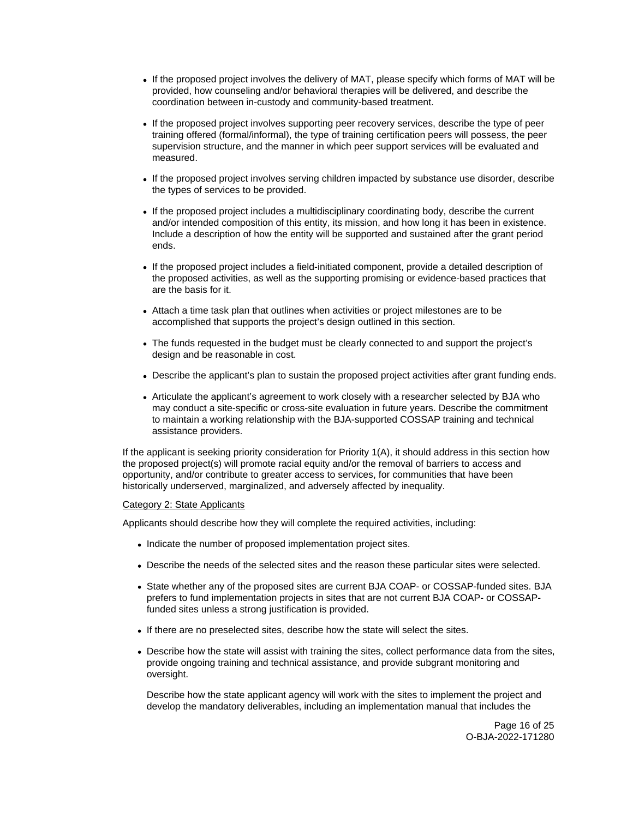- If the proposed project involves the delivery of MAT, please specify which forms of MAT will be provided, how counseling and/or behavioral therapies will be delivered, and describe the coordination between in-custody and community-based treatment.
- If the proposed project involves supporting peer recovery services, describe the type of peer training offered (formal/informal), the type of training certification peers will possess, the peer supervision structure, and the manner in which peer support services will be evaluated and measured.
- If the proposed project involves serving children impacted by substance use disorder, describe the types of services to be provided.
- If the proposed project includes a multidisciplinary coordinating body, describe the current and/or intended composition of this entity, its mission, and how long it has been in existence. Include a description of how the entity will be supported and sustained after the grant period ends.
- If the proposed project includes a field-initiated component, provide a detailed description of the proposed activities, as well as the supporting promising or evidence-based practices that are the basis for it.
- Attach a time task plan that outlines when activities or project milestones are to be accomplished that supports the project's design outlined in this section.
- The funds requested in the budget must be clearly connected to and support the project's design and be reasonable in cost.
- Describe the applicant's plan to sustain the proposed project activities after grant funding ends.
- Articulate the applicant's agreement to work closely with a researcher selected by BJA who may conduct a site-specific or cross-site evaluation in future years. Describe the commitment to maintain a working relationship with the BJA-supported COSSAP training and technical assistance providers.

If the applicant is seeking priority consideration for Priority 1(A), it should address in this section how the proposed project(s) will promote racial equity and/or the removal of barriers to access and opportunity, and/or contribute to greater access to services, for communities that have been historically underserved, marginalized, and adversely affected by inequality.

#### Category 2: State Applicants

Applicants should describe how they will complete the required activities, including:

- Indicate the number of proposed implementation project sites.
- Describe the needs of the selected sites and the reason these particular sites were selected.
- State whether any of the proposed sites are current BJA COAP- or COSSAP-funded sites. BJA prefers to fund implementation projects in sites that are not current BJA COAP- or COSSAPfunded sites unless a strong justification is provided.
- If there are no preselected sites, describe how the state will select the sites.
- Describe how the state will assist with training the sites, collect performance data from the sites, provide ongoing training and technical assistance, and provide subgrant monitoring and oversight.

Describe how the state applicant agency will work with the sites to implement the project and develop the mandatory deliverables, including an implementation manual that includes the

> Page 16 of 25 O-BJA-2022-171280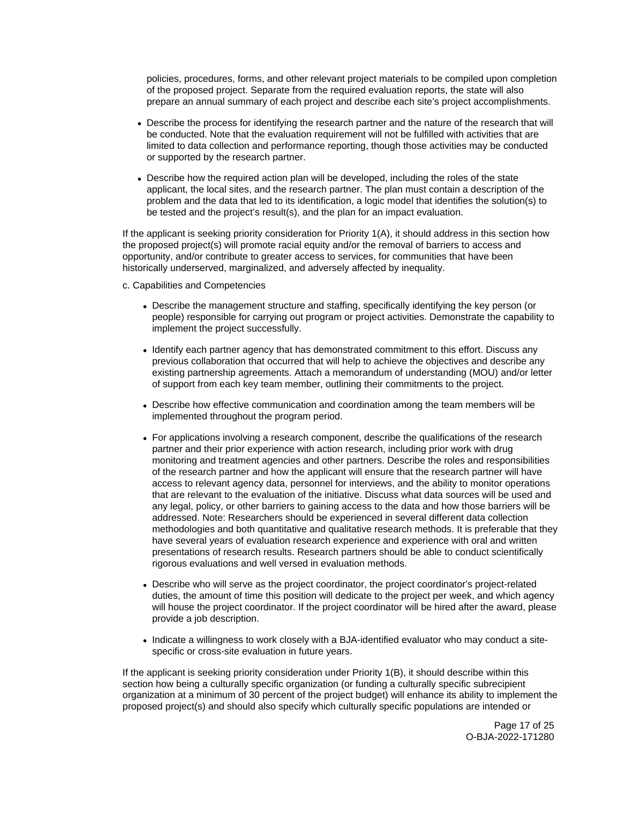policies, procedures, forms, and other relevant project materials to be compiled upon completion of the proposed project. Separate from the required evaluation reports, the state will also prepare an annual summary of each project and describe each site's project accomplishments.

- Describe the process for identifying the research partner and the nature of the research that will be conducted. Note that the evaluation requirement will not be fulfilled with activities that are limited to data collection and performance reporting, though those activities may be conducted or supported by the research partner.
- Describe how the required action plan will be developed, including the roles of the state applicant, the local sites, and the research partner. The plan must contain a description of the problem and the data that led to its identification, a logic model that identifies the solution(s) to be tested and the project's result(s), and the plan for an impact evaluation.

If the applicant is seeking priority consideration for Priority 1(A), it should address in this section how the proposed project(s) will promote racial equity and/or the removal of barriers to access and opportunity, and/or contribute to greater access to services, for communities that have been historically underserved, marginalized, and adversely affected by inequality.

c. Capabilities and Competencies

- Describe the management structure and staffing, specifically identifying the key person (or people) responsible for carrying out program or project activities. Demonstrate the capability to implement the project successfully.
- Identify each partner agency that has demonstrated commitment to this effort. Discuss any previous collaboration that occurred that will help to achieve the objectives and describe any existing partnership agreements. Attach a memorandum of understanding (MOU) and/or letter of support from each key team member, outlining their commitments to the project.
- Describe how effective communication and coordination among the team members will be implemented throughout the program period.
- For applications involving a research component, describe the qualifications of the research partner and their prior experience with action research, including prior work with drug monitoring and treatment agencies and other partners. Describe the roles and responsibilities of the research partner and how the applicant will ensure that the research partner will have access to relevant agency data, personnel for interviews, and the ability to monitor operations that are relevant to the evaluation of the initiative. Discuss what data sources will be used and any legal, policy, or other barriers to gaining access to the data and how those barriers will be addressed. Note: Researchers should be experienced in several different data collection methodologies and both quantitative and qualitative research methods. It is preferable that they have several years of evaluation research experience and experience with oral and written presentations of research results. Research partners should be able to conduct scientifically rigorous evaluations and well versed in evaluation methods.
- Describe who will serve as the project coordinator, the project coordinator's project-related duties, the amount of time this position will dedicate to the project per week, and which agency will house the project coordinator. If the project coordinator will be hired after the award, please provide a job description.
- Indicate a willingness to work closely with a BJA-identified evaluator who may conduct a sitespecific or cross-site evaluation in future years.

If the applicant is seeking priority consideration under Priority 1(B), it should describe within this section how being a culturally specific organization (or funding a culturally specific subrecipient organization at a minimum of 30 percent of the project budget) will enhance its ability to implement the proposed project(s) and should also specify which culturally specific populations are intended or

> Page 17 of 25 O-BJA-2022-171280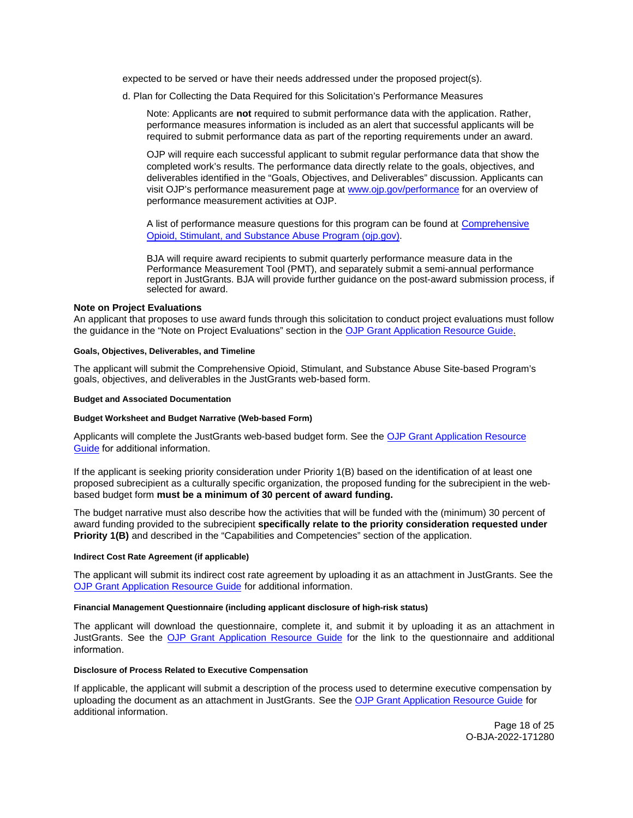<span id="page-17-0"></span>expected to be served or have their needs addressed under the proposed project(s).

d. Plan for Collecting the Data Required for this Solicitation's Performance Measures

Note: Applicants are **not** required to submit performance data with the application. Rather, performance measures information is included as an alert that successful applicants will be required to submit performance data as part of the reporting requirements under an award.

OJP will require each successful applicant to submit regular performance data that show the completed work's results. The performance data directly relate to the goals, objectives, and deliverables identified in the "Goals, Objectives, and Deliverables" discussion. Applicants can visit OJP's performance measurement page at [www.ojp.gov/performance](https://www.ojp.gov/performance) for an overview of performance measurement activities at OJP.

A list of performance measure questions for this program can be found at [Comprehensive](https://bja.ojp.gov/sites/g/files/xyckuh186/files/media/document/COSSAP-Measures.pdf) [Opioid, Stimulant, and Substance Abuse Program \(ojp.gov\).](https://bja.ojp.gov/sites/g/files/xyckuh186/files/media/document/COSSAP-Measures.pdf)

BJA will require award recipients to submit quarterly performance measure data in the Performance Measurement Tool (PMT), and separately submit a semi-annual performance report in JustGrants. BJA will provide further guidance on the post-award submission process, if selected for award.

#### **Note on Project Evaluations**

An applicant that proposes to use award funds through this solicitation to conduct project evaluations must follow the guidance in the "Note on Project Evaluations" section in the [OJP Grant Application Resource Guide.](https://www.ojp.gov/funding/apply/ojp-grant-application-resource-guide#project-evaluations)

#### **Goals, Objectives, Deliverables, and Timeline**

The applicant will submit the Comprehensive Opioid, Stimulant, and Substance Abuse Site-based Program's goals, objectives, and deliverables in the JustGrants web-based form.

#### **Budget and Associated Documentation**

#### **Budget Worksheet and Budget Narrative (Web-based Form)**

Applicants will complete the JustGrants web-based budget form. See the OJP Grant Application Resource Guide for additional information.

If the applicant is seeking priority consideration under Priority 1(B) based on the identification of at least one proposed subrecipient as a culturally specific organization, the proposed funding for the subrecipient in the webbased budget form **must be a minimum of 30 percent of award funding.** 

The budget narrative must also describe how the activities that will be funded with the (minimum) 30 percent of award funding provided to the subrecipient **specifically relate to the priority consideration requested under Priority 1(B)** and described in the "Capabilities and Competencies" section of the application.

#### **Indirect Cost Rate Agreement (if applicable)**

The applicant will submit its indirect cost rate agreement by uploading it as an attachment in JustGrants. See the [OJP Grant Application Resource Guide](https://ojp.gov/funding/Apply/Resources/Grant-App-Resource-Guide.htm) for additional information.

## **Financial Management Questionnaire (including applicant disclosure of high-risk status)**

The applicant will download the questionnaire, complete it, and submit it by uploading it as an attachment in JustGrants. See the [OJP Grant Application Resource Guide](https://ojp.gov/funding/Apply/Resources/Grant-App-Resource-Guide.htm) for the link to the questionnaire and additional information.

#### **Disclosure of Process Related to Executive Compensation**

If applicable, the applicant will submit a description of the process used to determine executive compensation by uploading the document as an attachment in JustGrants. See the [OJP Grant Application Resource Guide](https://www.ojp.gov/funding/Apply/Resources/Grant-App-Resource-Guide.htm) for additional information.

> Page 18 of 25 O-BJA-2022-171280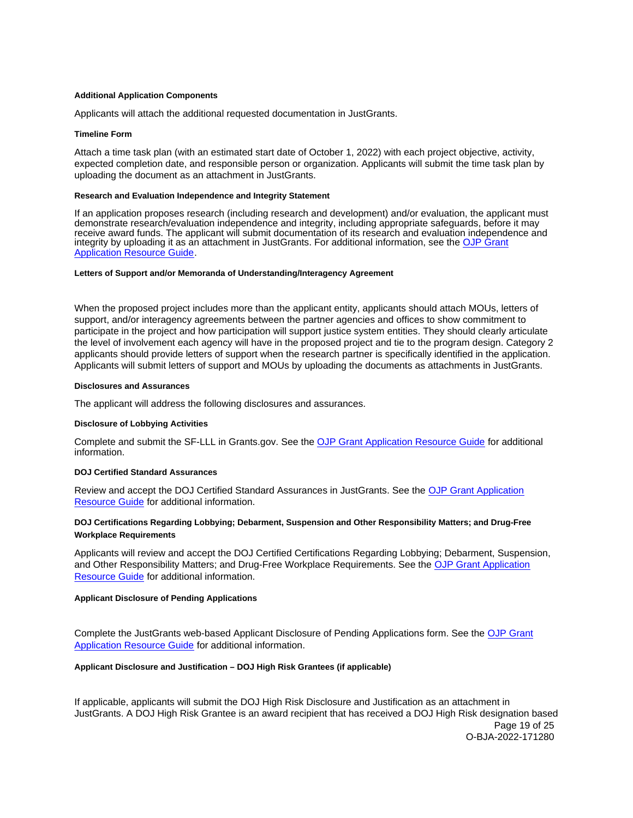#### <span id="page-18-0"></span>**Additional Application Components**

Applicants will attach the additional requested documentation in JustGrants.

#### **Timeline Form**

Attach a time task plan (with an estimated start date of October 1, 2022) with each project objective, activity, expected completion date, and responsible person or organization. Applicants will submit the time task plan by uploading the document as an attachment in JustGrants.

#### **Research and Evaluation Independence and Integrity Statement**

If an application proposes research (including research and development) and/or evaluation, the applicant must demonstrate research/evaluation independence and integrity, including appropriate safeguards, before it may receive award funds. The applicant will submit documentation of its research and evaluation independence and integrity by uploading it as an attachment in JustGrants. For additional information, see the [OJP Grant](https://www.ojp.gov/funding/apply/ojp-grant-application-resource-guide#research-evaluation)  [Application Resource Guide.](https://www.ojp.gov/funding/apply/ojp-grant-application-resource-guide#research-evaluation)

# **Letters of Support and/or Memoranda of Understanding/Interagency Agreement**

When the proposed project includes more than the applicant entity, applicants should attach MOUs, letters of support, and/or interagency agreements between the partner agencies and offices to show commitment to participate in the project and how participation will support justice system entities. They should clearly articulate the level of involvement each agency will have in the proposed project and tie to the program design. Category 2 applicants should provide letters of support when the research partner is specifically identified in the application. Applicants will submit letters of support and MOUs by uploading the documents as attachments in JustGrants.

#### **Disclosures and Assurances**

The applicant will address the following disclosures and assurances.

#### **Disclosure of Lobbying Activities**

Complete and submit the SF-LLL in [Grants.gov.](https://Grants.gov) See the [OJP Grant Application Resource Guide](https://www.ojp.gov/funding/apply/ojp-grant-application-resource-guide#disclosure-lobby) for additional information.

# **DOJ Certified Standard Assurances**

Review and accept the DOJ Certified Standard Assurances in JustGrants. See the [OJP Grant Application](https://www.ojp.gov/funding/apply/ojp-grant-application-resource-guide#administrative)  [Resource Guide](https://www.ojp.gov/funding/apply/ojp-grant-application-resource-guide#administrative) for additional information.

# **DOJ Certifications Regarding Lobbying; Debarment, Suspension and Other Responsibility Matters; and Drug-Free Workplace Requirements**

Applicants will review and accept the DOJ Certified Certifications Regarding Lobbying; Debarment, Suspension, and Other Responsibility Matters; and Drug-Free Workplace Requirements. See the [OJP Grant Application](https://www.ojp.gov/funding/apply/ojp-grant-application-resource-guide)  [Resource Guide for additional information.](https://www.ojp.gov/funding/apply/ojp-grant-application-resource-guide) 

# **Applicant Disclosure of Pending Applications**

Complete the JustGrants web-based Applicant Disclosure of Pending Applications form. See the [OJP Grant](https://www.ojp.gov/funding/apply/ojp-grant-application-resource-guide)  [Application Resource Guide](https://www.ojp.gov/funding/apply/ojp-grant-application-resource-guide) for additional information.

#### **Applicant Disclosure and Justification – DOJ High Risk Grantees (if applicable)**

If applicable, applicants will submit the DOJ High Risk Disclosure and Justification as an attachment in JustGrants. A DOJ High Risk Grantee is an award recipient that has received a DOJ High Risk designation based Page 19 of 25 O-BJA-2022-171280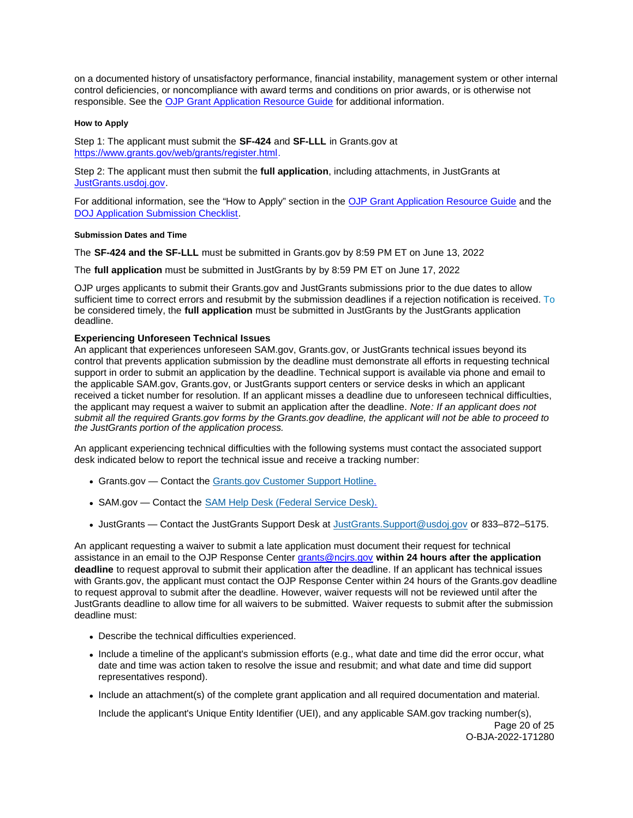<span id="page-19-0"></span>on a documented history of unsatisfactory performance, financial instability, management system or other internal control deficiencies, or noncompliance with award terms and conditions on prior awards, or is otherwise not responsible. See the [OJP Grant Application Resource Guide](https://www.ojp.gov/funding/apply/ojp-grant-application-resource-guide#applicant-disclosure-justification) for additional information.

#### **How to Apply**

Step 1: The applicant must submit the **SF-424** and **SF-LLL** in [Grants.gov](https://Grants.gov) at [https://www.grants.gov/web/grants/register.html.](https://www.grants.gov/web/grants/register.html)

Step 2: The applicant must then submit the **full application**, including attachments, in JustGrants at [JustGrants.usdoj.gov.](https://justicegrants.usdoj.gov/)

For additional information, see the "How to Apply" section in the [OJP Grant Application Resource Guide](https://www.ojp.gov/funding/apply/ojp-grant-application-resource-guide#apply) and the [DOJ Application Submission Checklist.](https://justicegrants.usdoj.gov/sites/g/files/xyckuh296/files/media/document/appln-submission-checklist.pdf)

#### **Submission Dates and Time**

The **SF-424 and the SF-LLL** must be submitted in [Grants.gov](https://Grants.gov) by 8:59 PM ET on June 13, 2022

The **full application** must be submitted in JustGrants by by 8:59 PM ET on June 17, 2022

OJP urges applicants to submit their [Grants.gov](https://Grants.gov) and JustGrants submissions prior to the due dates to allow sufficient time to correct errors and resubmit by the submission deadlines if a rejection notification is received. To be considered timely, the **full application** must be submitted in JustGrants by the JustGrants application deadline.

# **Experiencing Unforeseen Technical Issues**

An applicant that experiences unforeseen SAM.gov, [Grants.gov,](https://Grants.gov) or JustGrants technical issues beyond its control that prevents application submission by the deadline must demonstrate all efforts in requesting technical support in order to submit an application by the deadline. Technical support is available via phone and email to the applicable SAM.gov, [Grants.gov,](https://Grants.gov) or JustGrants support centers or service desks in which an applicant received a ticket number for resolution. If an applicant misses a deadline due to unforeseen technical difficulties, the applicant may request a waiver to submit an application after the deadline. Note: If an applicant does not submit all the required [Grants.gov](https://Grants.gov) forms by the [Grants.gov](https://Grants.gov) deadline, the applicant will not be able to proceed to the JustGrants portion of the application process.

An applicant experiencing technical difficulties with the following systems must contact the associated support desk indicated below to report the technical issue and receive a tracking number:

- [Grants.gov](https://Grants.gov)  Contact the [Grants.gov Customer Support Hotline.](https://www.grants.gov/web/grants/support.html)
- SAM.gov Contact the [SAM Help Desk \(Federal Service Desk\).](https://www.fsd.gov/gsafsd_sp)
- JustGrants Contact the JustGrants Support Desk at [JustGrants.Support@usdoj.gov](mailto:JustGrants.Support@usdoj.gov) or 833–872–5175.

An applicant requesting a waiver to submit a late application must document their request for technical assistance in an email to the OJP Response Center [grants@ncjrs.gov](mailto:grants@ncjrs.gov) **within 24 hours after the application deadline** to request approval to submit their application after the deadline. If an applicant has technical issues with [Grants.gov,](https://Grants.gov) the applicant must contact the OJP Response Center within 24 hours of the [Grants.gov](https://Grants.gov) deadline to request approval to submit after the deadline. However, waiver requests will not be reviewed until after the JustGrants deadline to allow time for all waivers to be submitted. Waiver requests to submit after the submission deadline must:

- Describe the technical difficulties experienced.
- Include a timeline of the applicant's submission efforts (e.g., what date and time did the error occur, what date and time was action taken to resolve the issue and resubmit; and what date and time did support representatives respond).
- Include an attachment(s) of the complete grant application and all required documentation and material.

Include the applicant's Unique Entity Identifier (UEI), and any applicable SAM.gov tracking number(s),

Page 20 of 25 O-BJA-2022-171280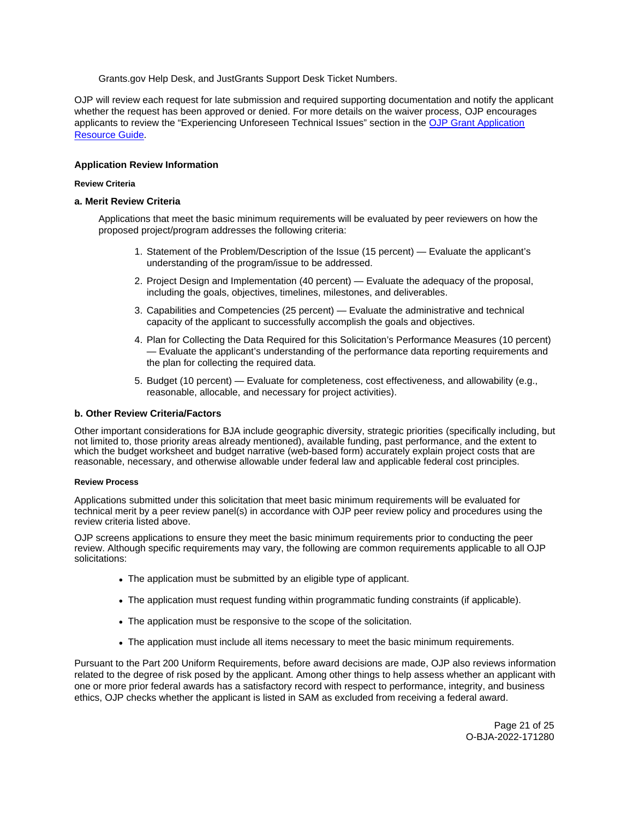[Grants.gov](https://Grants.gov) Help Desk, and JustGrants Support Desk Ticket Numbers.

<span id="page-20-0"></span>OJP will review each request for late submission and required supporting documentation and notify the applicant whether the request has been approved or denied. For more details on the waiver process, OJP encourages applicants to review the "Experiencing Unforeseen Technical Issues" section in the [OJP Grant Application](https://www.ojp.gov/funding/apply/ojp-grant-application-resource-guide#experiencing-unforeseen-technical-issues)  [Resource Guide](https://www.ojp.gov/funding/apply/ojp-grant-application-resource-guide#experiencing-unforeseen-technical-issues).

# **Application Review Information**

#### **Review Criteria**

#### **a. Merit Review Criteria**

Applications that meet the basic minimum requirements will be evaluated by peer reviewers on how the proposed project/program addresses the following criteria:

- 1. Statement of the Problem/Description of the Issue (15 percent) Evaluate the applicant's understanding of the program/issue to be addressed.
- 2. Project Design and Implementation (40 percent) Evaluate the adequacy of the proposal, including the goals, objectives, timelines, milestones, and deliverables.
- 3. Capabilities and Competencies (25 percent) Evaluate the administrative and technical capacity of the applicant to successfully accomplish the goals and objectives.
- 4. Plan for Collecting the Data Required for this Solicitation's Performance Measures (10 percent) — Evaluate the applicant's understanding of the performance data reporting requirements and the plan for collecting the required data.
- 5. Budget (10 percent) Evaluate for completeness, cost effectiveness, and allowability (e.g., reasonable, allocable, and necessary for project activities).

#### **b. Other Review Criteria/Factors**

Other important considerations for BJA include geographic diversity, strategic priorities (specifically including, but not limited to, those priority areas already mentioned), available funding, past performance, and the extent to which the budget worksheet and budget narrative (web-based form) accurately explain project costs that are reasonable, necessary, and otherwise allowable under federal law and applicable federal cost principles.

#### **Review Process**

Applications submitted under this solicitation that meet basic minimum requirements will be evaluated for technical merit by a peer review panel(s) in accordance with OJP peer review policy and procedures using the review criteria listed above.

OJP screens applications to ensure they meet the basic minimum requirements prior to conducting the peer review. Although specific requirements may vary, the following are common requirements applicable to all OJP solicitations:

- The application must be submitted by an eligible type of applicant.
- The application must request funding within programmatic funding constraints (if applicable).
- The application must be responsive to the scope of the solicitation.
- The application must include all items necessary to meet the basic minimum requirements.

Pursuant to the Part 200 Uniform Requirements, before award decisions are made, OJP also reviews information related to the degree of risk posed by the applicant. Among other things to help assess whether an applicant with one or more prior federal awards has a satisfactory record with respect to performance, integrity, and business ethics, OJP checks whether the applicant is listed in SAM as excluded from receiving a federal award.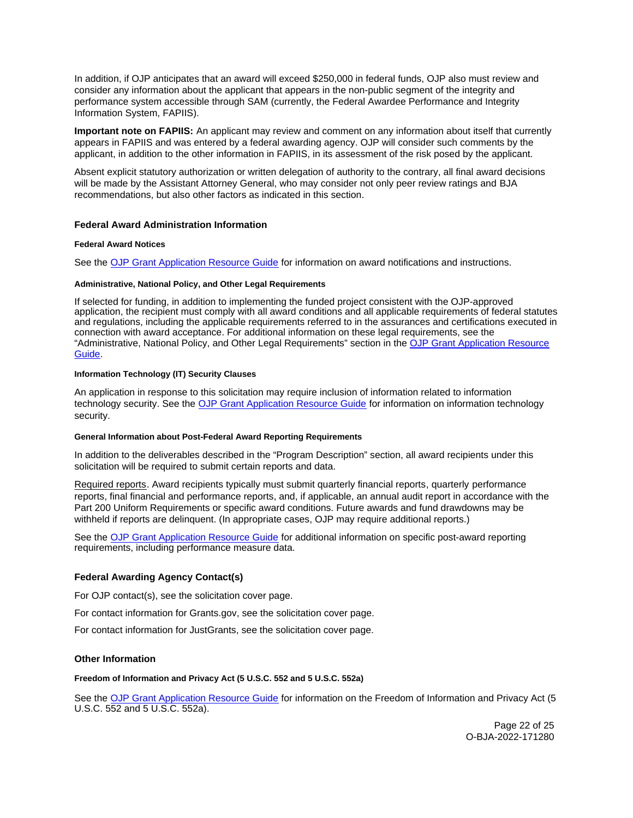<span id="page-21-0"></span>In addition, if OJP anticipates that an award will exceed \$250,000 in federal funds, OJP also must review and consider any information about the applicant that appears in the non-public segment of the integrity and performance system accessible through SAM (currently, the Federal Awardee Performance and Integrity Information System, FAPIIS).

**Important note on FAPIIS:** An applicant may review and comment on any information about itself that currently appears in FAPIIS and was entered by a federal awarding agency. OJP will consider such comments by the applicant, in addition to the other information in FAPIIS, in its assessment of the risk posed by the applicant.

Absent explicit statutory authorization or written delegation of authority to the contrary, all final award decisions will be made by the Assistant Attorney General, who may consider not only peer review ratings and BJA recommendations, but also other factors as indicated in this section.

# **Federal Award Administration Information**

# **Federal Award Notices**

See the [OJP Grant Application Resource Guide](https://www.ojp.gov/funding/apply/ojp-grant-application-resource-guide#federal-award-notices) for information on award notifications and instructions.

#### **Administrative, National Policy, and Other Legal Requirements**

If selected for funding, in addition to implementing the funded project consistent with the OJP-approved application, the recipient must comply with all award conditions and all applicable requirements of federal statutes and regulations, including the applicable requirements referred to in the assurances and certifications executed in connection with award acceptance. For additional information on these legal requirements, see the "Administrative, National Policy, and Other Legal Requirements" section in the [OJP Grant Application Resource](https://www.ojp.gov/funding/apply/ojp-grant-application-resource-guide#administrative)  [Guide.](https://www.ojp.gov/funding/apply/ojp-grant-application-resource-guide#administrative)

# **Information Technology (IT) Security Clauses**

An application in response to this solicitation may require inclusion of information related to information technology security. See the [OJP Grant Application Resource Guide](https://www.ojp.gov/funding/apply/ojp-grant-application-resource-guide#information-technology) for information on information technology security.

#### **General Information about Post-Federal Award Reporting Requirements**

In addition to the deliverables described in the "Program Description" section, all award recipients under this solicitation will be required to submit certain reports and data.

Required reports. Award recipients typically must submit quarterly financial reports, quarterly performance reports, final financial and performance reports, and, if applicable, an annual audit report in accordance with the Part 200 Uniform Requirements or specific award conditions. Future awards and fund drawdowns may be withheld if reports are delinquent. (In appropriate cases, OJP may require additional reports.)

See the [OJP Grant Application Resource Guide](https://www.ojp.gov/funding/apply/ojp-grant-application-resource-guide#general-information) for additional information on specific post-award reporting requirements, including performance measure data.

# **Federal Awarding Agency Contact(s)**

For OJP contact(s), see the solicitation cover page.

For contact information for [Grants.gov](https://Grants.gov), see the solicitation cover page.

For contact information for JustGrants, see the solicitation cover page.

# **Other Information**

#### **Freedom of Information and Privacy Act (5 U.S.C. 552 and 5 U.S.C. 552a)**

See the [OJP Grant Application Resource Guide](https://www.ojp.gov/funding/apply/ojp-grant-application-resource-guide#foia) for information on the Freedom of Information and Privacy Act (5 U.S.C. 552 and 5 U.S.C. 552a).

> Page 22 of 25 O-BJA-2022-171280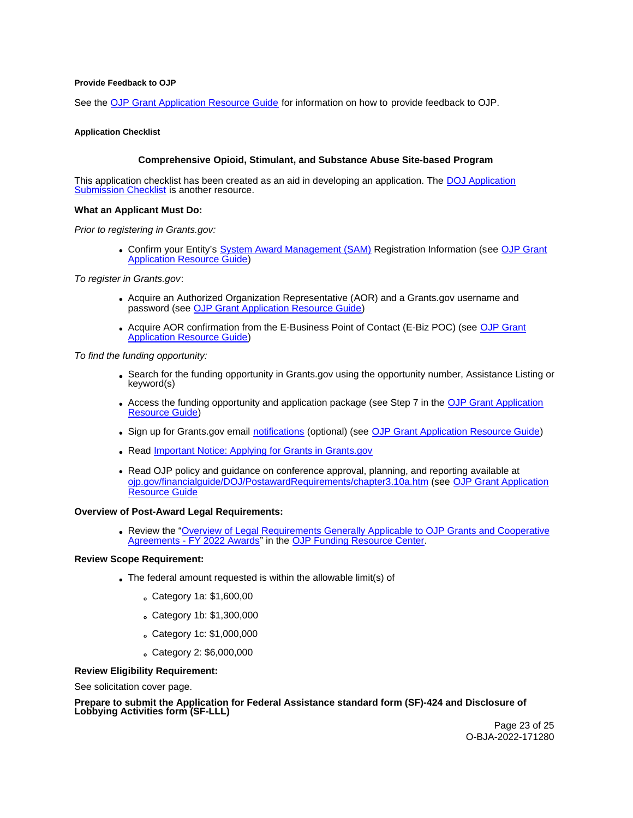#### <span id="page-22-0"></span>**Provide Feedback to OJP**

See the [OJP Grant Application Resource Guide](https://www.ojp.gov/funding/apply/ojp-grant-application-resource-guide#feedback) for information on how to provide feedback to OJP.

#### **Application Checklist**

# **Comprehensive Opioid, Stimulant, and Substance Abuse Site-based Program**

This application checklist has been created as an aid in developing an application. The [DOJ Application](https://justicegrants.usdoj.gov/sites/g/files/xyckuh296/files/media/document/appln-submission-checklist.pdf)  [Submission Checklist](https://justicegrants.usdoj.gov/sites/g/files/xyckuh296/files/media/document/appln-submission-checklist.pdf) is another resource.

#### **What an Applicant Must Do:**

Prior to registering in [Grants.gov](https://Grants.gov):

• Confirm your Entity's [System Award Management \(SAM\)](https://sam.gov/SAM/) Registration Information (see OJP Grant [Application Resource Guide\)](https://www.ojp.gov/funding/apply/ojp-grant-application-resource-guide#apply)

To register in [Grants.gov](https://Grants.gov):

- Acquire an Authorized Organization Representative (AOR) and a [Grants.gov](https://Grants.gov) username and password (see [OJP Grant Application Resource Guide\)](https://www.ojp.gov/funding/apply/ojp-grant-application-resource-guide#apply)
- Acquire AOR confirmation from the E-Business Point of Contact (E-Biz POC) (see [OJP Grant](https://www.ojp.gov/funding/apply/ojp-grant-application-resource-guide#apply)  [Application Resource Guide\)](https://www.ojp.gov/funding/apply/ojp-grant-application-resource-guide#apply)

To find the funding opportunity:

- Search for the funding opportunity in [Grants.gov](https://Grants.gov) using the opportunity number, Assistance Listing or keyword(s)
- Access the funding opportunity and application package (see Step 7 in the [OJP Grant Application](https://www.ojp.gov/funding/apply/ojp-grant-application-resource-guide#apply)  [Resource Guide\)](https://www.ojp.gov/funding/apply/ojp-grant-application-resource-guide#apply)
- Sign up for [Grants.gov](https://Grants.gov) email [notifications](https://www.grants.gov/web/grants/manage-subscriptions.html) (optional) (see [OJP Grant Application Resource Guide\)](https://www.ojp.gov/funding/apply/ojp-grant-application-resource-guide#apply)
- Read Important Notice: Applying for Grants in Grants.gov
- Read OJP policy and guidance on conference approval, planning, and reporting available at [ojp.gov/financialguide/DOJ/PostawardRequirements/chapter3.10a.htm](https://ojp.gov/financialguide/DOJ/PostawardRequirements/chapter3.10a.htm) (see [OJP Grant Application](https://www.ojp.gov/funding/apply/ojp-grant-application-resource-guide#prior-approval)  [Resource Guide](https://www.ojp.gov/funding/apply/ojp-grant-application-resource-guide#prior-approval)

#### **Overview of Post-Award Legal Requirements:**

Review the "[Overview of Legal Requirements Generally Applicable to OJP Grants and Cooperative](https://www.ojp.gov/funding/explore/legal-overview-awards)  [Agreements - FY 2022 Awards"](https://www.ojp.gov/funding/explore/legal-overview-awards) in the [OJP Funding Resource Center.](https://www.ojp.gov/funding/explore/legal-overview-awards)

# **Review Scope Requirement:**

- The federal amount requested is within the allowable limit(s) of
	- Category 1a: \$1,600,00
	- Category 1b: \$1,300,000
	- Category 1c: \$1,000,000
	- Category 2: \$6,000,000

# **Review Eligibility Requirement:**

See solicitation cover page.

**Prepare to submit the Application for Federal Assistance standard form (SF)-424 and Disclosure of Lobbying Activities form (SF-LLL)** 

> Page 23 of 25 O-BJA-2022-171280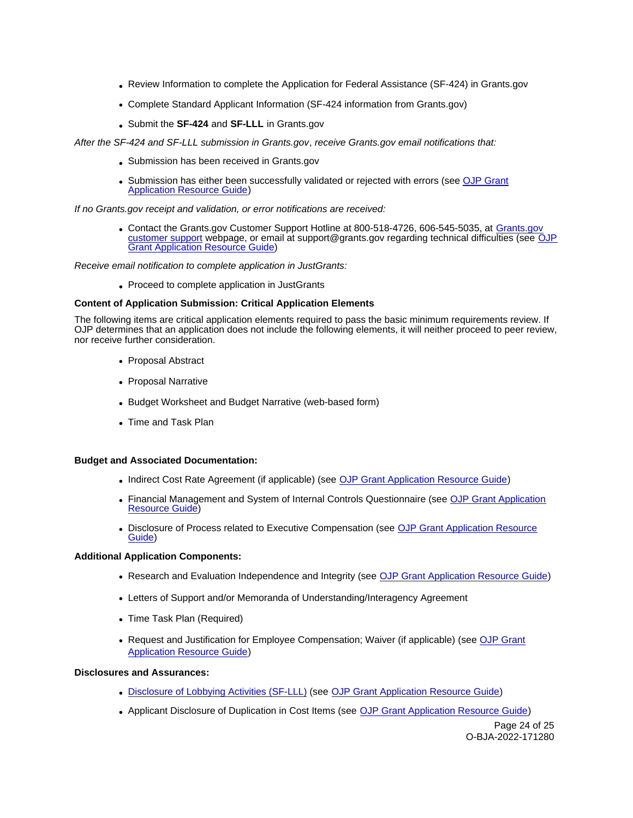- Review Information to complete the Application for Federal Assistance (SF-424) in [Grants.gov](https://Grants.gov)
- Complete Standard Applicant Information (SF-424 information from [Grants.gov\)](https://Grants.gov)
- Submit the **SF-424** and **SF-LLL** in [Grants.gov](https://Grants.gov)

After the SF-424 and SF-LLL submission in [Grants.gov](https://Grants.gov), receive [Grants.gov](https://Grants.gov) email notifications that:

- Submission has been received in [Grants.gov](https://Grants.gov)
- Submission has either been successfully validated or rejected with errors (see OJP Grant [Application Resource Guide\)](https://www.ojp.gov/funding/apply/ojp-grant-application-resource-guide#apply)

If no [Grants.gov](https://Grants.gov) receipt and validation, or error notifications are received:

• Contact the [Grants.gov](https://Grants.gov) Customer Support Hotline at 800-518-4726, 606-545-5035, at Grants.gov [customer support](https://www.grants.gov/web/grants/support.html) webpage, or email at [support@grants.gov](mailto:support@grants.gov) regarding technical difficulties (see OJP [Grant Application Resource Guide\)](https://www.ojp.gov/funding/apply/ojp-grant-application-resource-guide#apply)

Receive email notification to complete application in JustGrants:

Proceed to complete application in JustGrants

# **Content of Application Submission: Critical Application Elements**

The following items are critical application elements required to pass the basic minimum requirements review. If OJP determines that an application does not include the following elements, it will neither proceed to peer review, nor receive further consideration.

- Proposal Abstract
- Proposal Narrative
- Budget Worksheet and Budget Narrative (web-based form)
- Time and Task Plan

# **Budget and Associated Documentation:**

- Indirect Cost Rate Agreement (if applicable) (see [OJP Grant Application Resource Guide\)](https://www.ojp.gov/funding/apply/ojp-grant-application-resource-guide#indirect-cost)
- Financial Management and System of Internal Controls Questionnaire (see OJP Grant Application [Resource Guide\)](https://www.ojp.gov/funding/apply/ojp-grant-application-resource-guide#fm-internal-controls-questionnaire)
- **Disclosure of Process related to Executive Compensation (see OJP Grant Application Resource** [Guide\)](https://www.ojp.gov/funding/apply/ojp-grant-application-resource-guide#disclosure-process-executive)

# **Additional Application Components:**

- Research and Evaluation Independence and Integrity (see [OJP Grant Application Resource Guide\)](https://www.ojp.gov/funding/apply/ojp-grant-application-resource-guide#research-evaluation)
- Letters of Support and/or Memoranda of Understanding/Interagency Agreement
- Time Task Plan (Required)
- Request and Justification for Employee Compensation; Waiver (if applicable) (see OJP Grant [Application Resource Guide\)](https://www.ojp.gov/funding/apply/ojp-grant-application-resource-guide#limitation-use-award)

# **Disclosures and Assurances:**

- [Disclosure of Lobbying Activities \(SF-LLL\)](https://ojp.gov/funding/Apply/Resources/Disclosure.pdf) (see [OJP Grant Application Resource Guide\)](https://www.ojp.gov/funding/apply/ojp-grant-application-resource-guide#disclosure-lobby)
- Applicant Disclosure of Duplication in Cost Items (see [OJP Grant Application Resource Guide\)](https://www.ojp.gov/funding/apply/ojp-grant-application-resource-guide#applicant-disclosure-pending-applications)